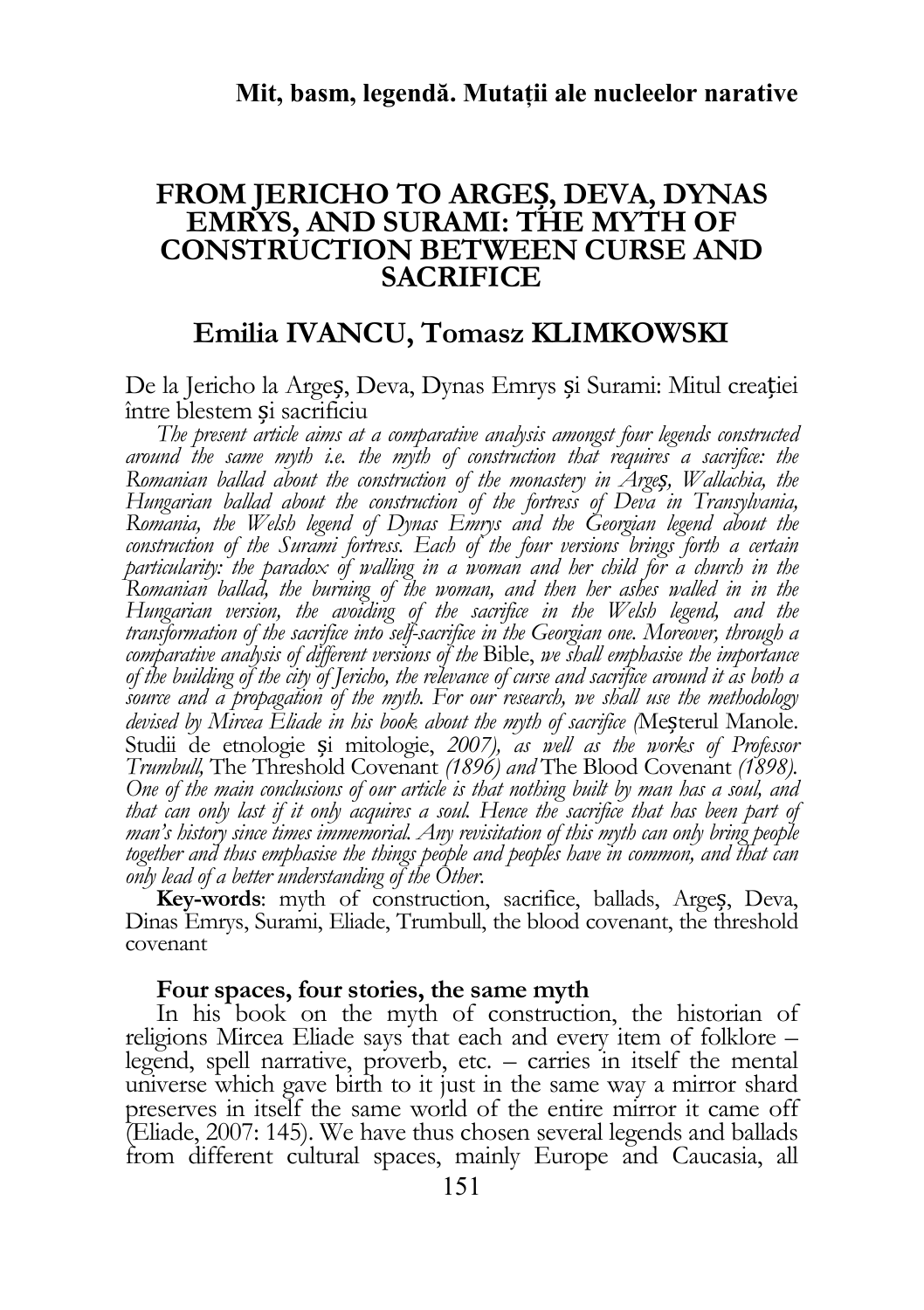## FROM JERICHO TO ARGEȘ, DEVA, DYNAS EMRYS, AND SURAMI: THE MYTH OF CONSTRUCTION BETWEEN CURSE AND SACRIFICE

#### Emilia IVANCU, Tomasz KLIMKOWSKI

De la Jericho la Argeș, Deva, Dynas Emrys și Surami: Mitul creației între blestem și sacrificiu

The present article aims at a comparative analysis amongst four legends constructed around the same myth i.e. the myth of construction that requires a sacrifice: the Romanian ballad about the construction of the monastery in Argeș, Wallachia, the Hungarian ballad about the construction of the fortress of Deva in Transylvania, Romania, the Welsh legend of Dynas Emrys and the Georgian legend about the construction of the Surami fortress. Each of the four versions brings forth a certain particularity: the paradox of walling in a woman and her child for a church in the Romanian ballad, the burning of the woman, and then her ashes walled in in the Hungarian version, the avoiding of the sacrifice in the Welsh legend, and the transformation of the sacrifice into self-sacrifice in the Georgian one. Moreover, through a comparative analysis of different versions of the Bible, we shall emphasise the importance of the building of the city of Jericho, the relevance of curse and sacrifice around it as both a source and a propagation of the myth. For our research, we shall use the methodology devised by Mircea Eliade in his book about the myth of sacrifice (Mesterul Manole. Studii de etnologie si mitologie, 2007), as well as the works of Professor Trumbull, The Threshold Covenant (1896) and The Blood Covenant (1898). One of the main conclusions of our article is that nothing built by man has a soul, and that can only last if it only acquires a soul. Hence the sacrifice that has been part of man's history since times immemorial. Any revisitation of this myth can only bring people together and thus emphasise the things people and peoples have in common, and that can only lead of a better understanding of the Other.

Key-words: myth of construction, sacrifice, ballads, Argeș, Deva, Dinas Emrys, Surami, Eliade, Trumbull, the blood covenant, the threshold covenant

#### Four spaces, four stories, the same myth

In his book on the myth of construction, the historian of religions Mircea Eliade says that each and every item of folklore – legend, spell narrative, proverb, etc. – carries in itself the mental universe which gave birth to it just in the same way a mirror shard preserves in itself the same world of the entire mirror it came off (Eliade, 2007: 145). We have thus chosen several legends and ballads from different cultural spaces, mainly Europe and Caucasia, all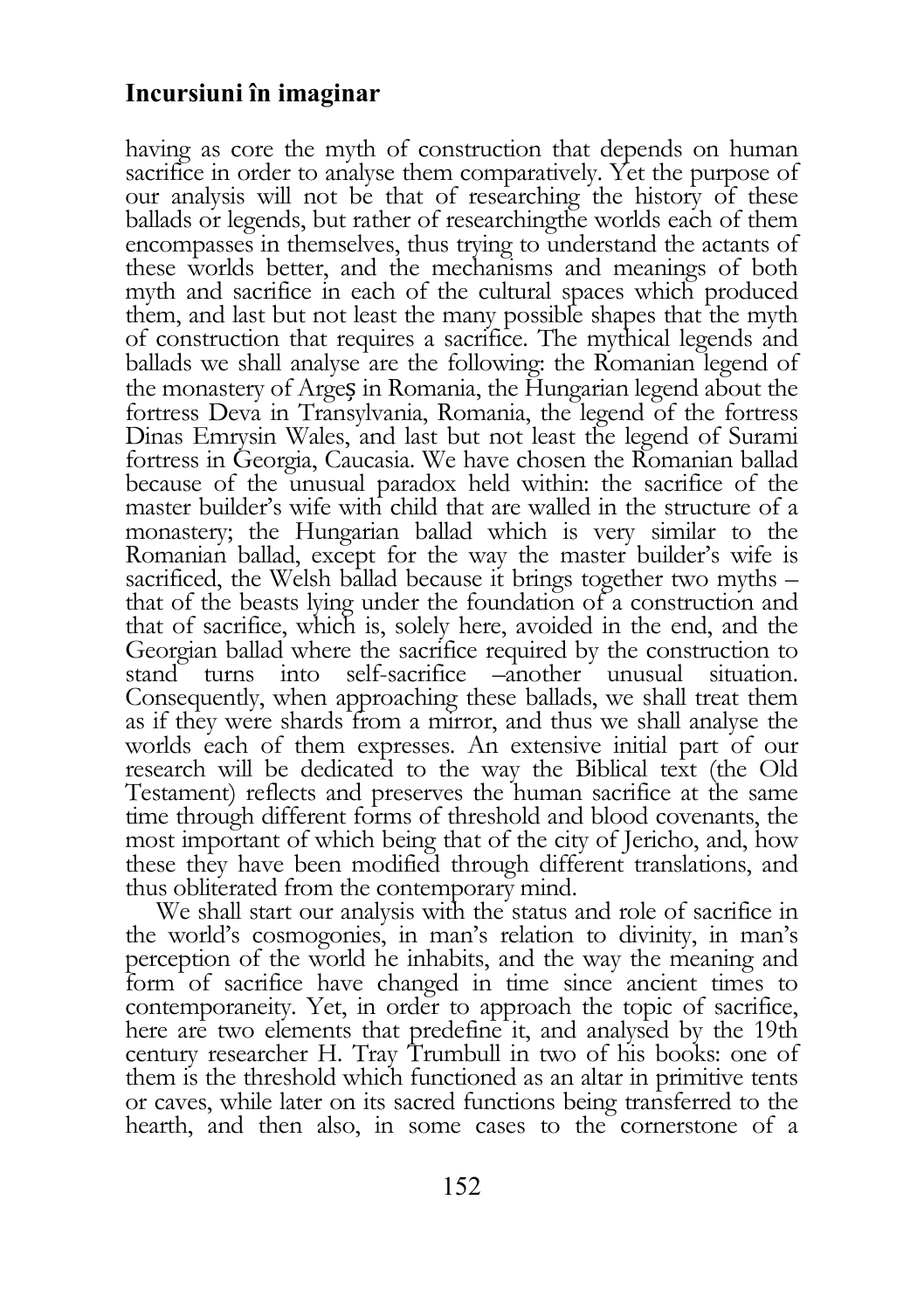having as core the myth of construction that depends on human sacrifice in order to analyse them comparatively. Yet the purpose of our analysis will not be that of researching the history of these ballads or legends, but rather of researchingthe worlds each of them encompasses in themselves, thus trying to understand the actants of these worlds better, and the mechanisms and meanings of both myth and sacrifice in each of the cultural spaces which produced them, and last but not least the many possible shapes that the myth of construction that requires a sacrifice. The mythical legends and ballads we shall analyse are the following: the Romanian legend of the monastery of Argeș in Romania, the Hungarian legend about the fortress Deva in Transylvania, Romania, the legend of the fortress Dinas Emrysin Wales, and last but not least the legend of Surami fortress in Georgia, Caucasia. We have chosen the Romanian ballad because of the unusual paradox held within: the sacrifice of the master builder's wife with child that are walled in the structure of a monastery; the Hungarian ballad which is very similar to the Romanian ballad, except for the way the master builder's wife is sacrificed, the Welsh ballad because it brings together two myths – that of the beasts lying under the foundation of a construction and that of sacrifice, which is, solely here, avoided in the end, and the Georgian ballad where the sacrifice required by the construction to stand turns into self-sacrifice –another unusual situation. Consequently, when approaching these ballads, we shall treat them as if they were shards from a mirror, and thus we shall analyse the worlds each of them expresses. An extensive initial part of our research will be dedicated to the way the Biblical text (the Old Testament) reflects and preserves the human sacrifice at the same time through different forms of threshold and blood covenants, the most important of which being that of the city of Jericho, and, how these they have been modified through different translations, and thus obliterated from the contemporary mind.

We shall start our analysis with the status and role of sacrifice in the world's cosmogonies, in man's relation to divinity, in man's perception of the world he inhabits, and the way the meaning and form of sacrifice have changed in time since ancient times to contemporaneity. Yet, in order to approach the topic of sacrifice, here are two elements that predefine it, and analysed by the 19th century researcher H. Tray Trumbull in two of his books: one of them is the threshold which functioned as an altar in primitive tents or caves, while later on its sacred functions being transferred to the hearth, and then also, in some cases to the cornerstone of a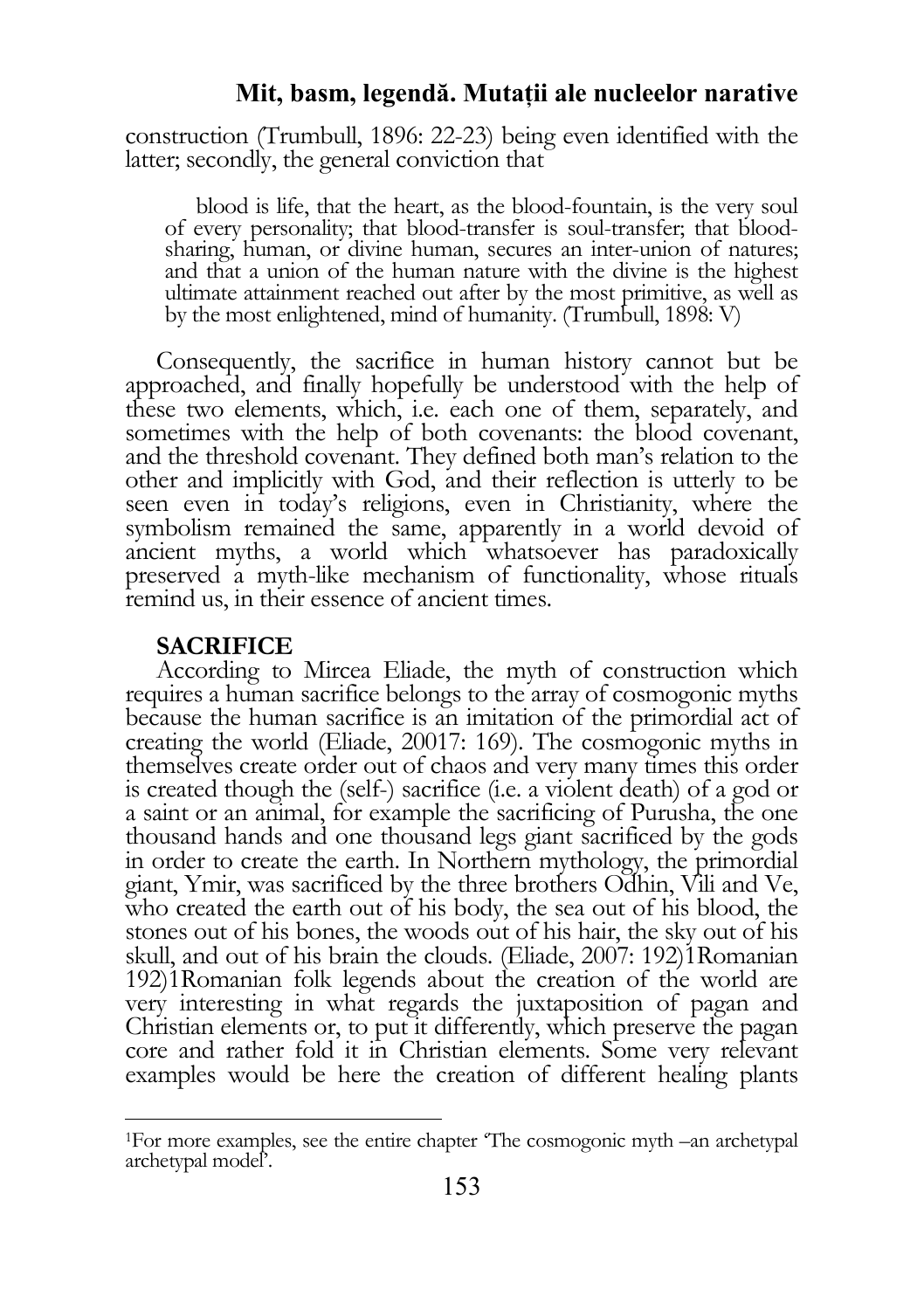construction (Trumbull, 1896: 22-23) being even identified with the latter; secondly, the general conviction that

blood is life, that the heart, as the blood-fountain, is the very soul of every personality; that blood-transfer is soul-transfer; that bloodsharing, human, or divine human, secures an inter-union of natures; and that a union of the human nature with the divine is the highest ultimate attainment reached out after by the most primitive, as well as by the most enlightened, mind of humanity. (Trumbull, 1898: V)

Consequently, the sacrifice in human history cannot but be approached, and finally hopefully be understood with the help of these two elements, which, i.e. each one of them, separately, and sometimes with the help of both covenants: the blood covenant, and the threshold covenant. They defined both man's relation to the other and implicitly with God, and their reflection is utterly to be seen even in today's religions, even in Christianity, where the symbolism remained the same, apparently in a world devoid of ancient myths, a world which whatsoever has paradoxically preserved a myth-like mechanism of functionality, whose rituals remind us, in their essence of ancient times.

#### SACRIFICE

 $\overline{a}$ 

According to Mircea Eliade, the myth of construction which requires a human sacrifice belongs to the array of cosmogonic myths because the human sacrifice is an imitation of the primordial act of creating the world (Eliade, 20017: 169). The cosmogonic myths in themselves create order out of chaos and very many times this order is created though the (self-) sacrifice (i.e. a violent death) of a god or a saint or an animal, for example the sacrificing of Purusha, the one thousand hands and one thousand legs giant sacrificed by the gods in order to create the earth. In Northern mythology, the primordial giant, Ymir, was sacrificed by the three brothers Odhin, Vili and Ve, who created the earth out of his body, the sea out of his blood, the stones out of his bones, the woods out of his hair, the sky out of his skull, and out of his brain the clouds. (Eliade, 2007: 192)1Romanian 192)1Romanian folk legends about the creation of the world are very interesting in what regards the juxtaposition of pagan and Christian elements or, to put it differently, which preserve the pagan core and rather fold it in Christian elements. Some very relevant examples would be here the creation of different healing plants

<sup>1</sup>For more examples, see the entire chapter 'The cosmogonic myth –an archetypal archetypal model'.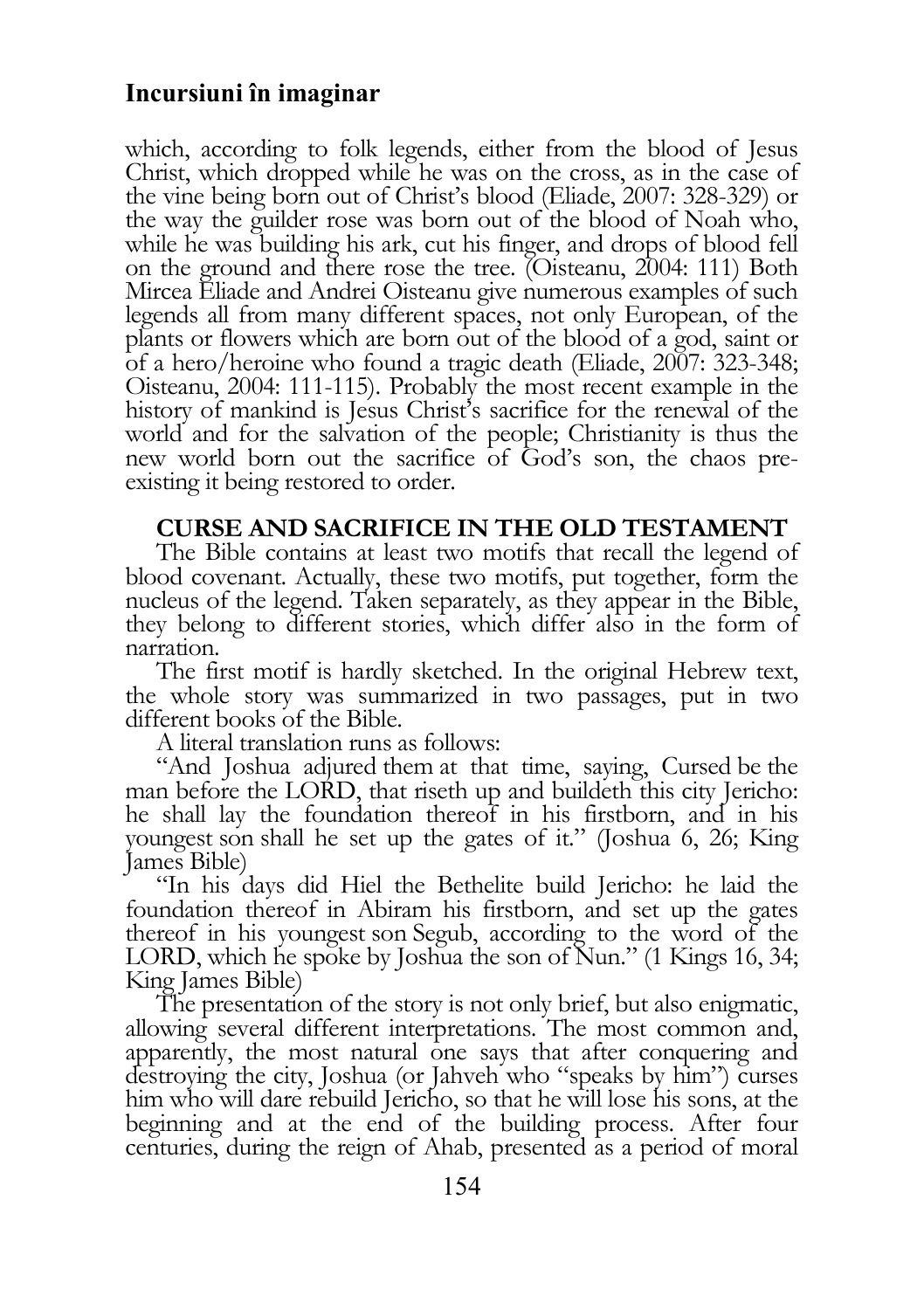which, according to folk legends, either from the blood of Jesus Christ, which dropped while he was on the cross, as in the case of the vine being born out of Christ's blood (Eliade, 2007: 328-329) or the way the guilder rose was born out of the blood of Noah who, while he was building his ark, cut his finger, and drops of blood fell on the ground and there rose the tree. (Oisteanu, 2004: 111) Both Mircea Eliade and Andrei Oisteanu give numerous examples of such legends all from many different spaces, not only European, of the plants or flowers which are born out of the blood of a god, saint or of a hero/heroine who found a tragic death (Eliade, 2007: 323-348; Oisteanu, 2004: 111-115). Probably the most recent example in the history of mankind is Jesus Christ's sacrifice for the renewal of the world and for the salvation of the people; Christianity is thus the new world born out the sacrifice of God's son, the chaos preexisting it being restored to order.

#### CURSE AND SACRIFICE IN THE OLD TESTAMENT

The Bible contains at least two motifs that recall the legend of blood covenant. Actually, these two motifs, put together, form the nucleus of the legend. Taken separately, as they appear in the Bible, they belong to different stories, which differ also in the form of narration.

The first motif is hardly sketched. In the original Hebrew text, the whole story was summarized in two passages, put in two different books of the Bible.

A literal translation runs as follows:

"And Joshua adjured them at that time, saying, Cursed be the man before the LORD, that riseth up and buildeth this city Jericho: he shall lay the foundation thereof in his firstborn, and in his youngest son shall he set up the gates of it." (Joshua 6, 26; King James Bible)

"In his days did Hiel the Bethelite build Jericho: he laid the foundation thereof in Abiram his firstborn, and set up the gates thereof in his youngest son Segub, according to the word of the LORD, which he spoke by Joshua the son of Nun." (1 Kings 16, 34; King James Bible)

The presentation of the story is not only brief, but also enigmatic, allowing several different interpretations. The most common and, apparently, the most natural one says that after conquering and destroying the city, Joshua (or Jahveh who "speaks by him") curses him who will dare rebuild Jericho, so that he will lose his sons, at the beginning and at the end of the building process. After four centuries, during the reign of Ahab, presented as a period of moral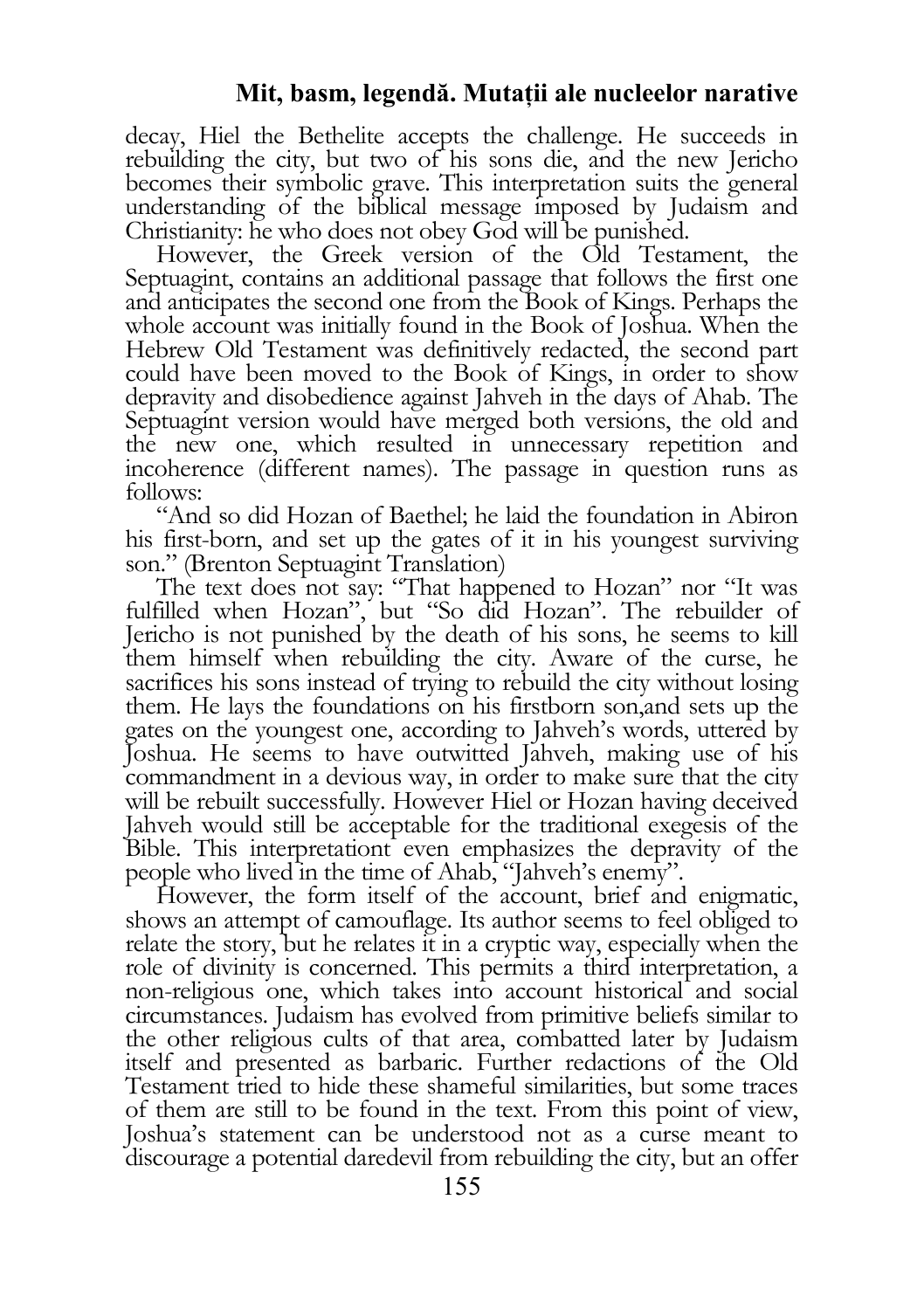decay, Hiel the Bethelite accepts the challenge. He succeeds in rebuilding the city, but two of his sons die, and the new Jericho becomes their symbolic grave. This interpretation suits the general understanding of the biblical message imposed by Judaism and Christianity: he who does not obey God will be punished.

However, the Greek version of the Old Testament, the Septuagint, contains an additional passage that follows the first one and anticipates the second one from the Book of Kings. Perhaps the whole account was initially found in the Book of Joshua. When the Hebrew Old Testament was definitively redacted, the second part could have been moved to the Book of Kings, in order to show depravity and disobedience against Jahveh in the days of Ahab. The Septuagint version would have merged both versions, the old and the new one, which resulted in unnecessary repetition and incoherence (different names). The passage in question runs as follows:

"And so did Hozan of Baethel; he laid the foundation in Abiron his first-born, and set up the gates of it in his youngest surviving son." (Brenton Septuagint Translation)

The text does not say: "That happened to Hozan" nor "It was fulfilled when Hozan", but "So did Hozan". The rebuilder of Jericho is not punished by the death of his sons, he seems to kill them himself when rebuilding the city. Aware of the curse, he sacrifices his sons instead of trying to rebuild the city without losing them. He lays the foundations on his firstborn son,and sets up the gates on the youngest one, according to Jahveh's words, uttered by Joshua. He seems to have outwitted Jahveh, making use of his commandment in a devious way, in order to make sure that the city will be rebuilt successfully. However Hiel or Hozan having deceived Jahveh would still be acceptable for the traditional exegesis of the Bible. This interpretationt even emphasizes the depravity of the people who lived in the time of Ahab, "Jahveh's enemy".

However, the form itself of the account, brief and enigmatic, shows an attempt of camouflage. Its author seems to feel obliged to relate the story, but he relates it in a cryptic way, especially when the role of divinity is concerned. This permits a third interpretation, a non-religious one, which takes into account historical and social circumstances. Judaism has evolved from primitive beliefs similar to the other religious cults of that area, combatted later by Judaism itself and presented as barbaric. Further redactions of the Old Testament tried to hide these shameful similarities, but some traces of them are still to be found in the text. From this point of view, Joshua's statement can be understood not as a curse meant to discourage a potential daredevil from rebuilding the city, but an offer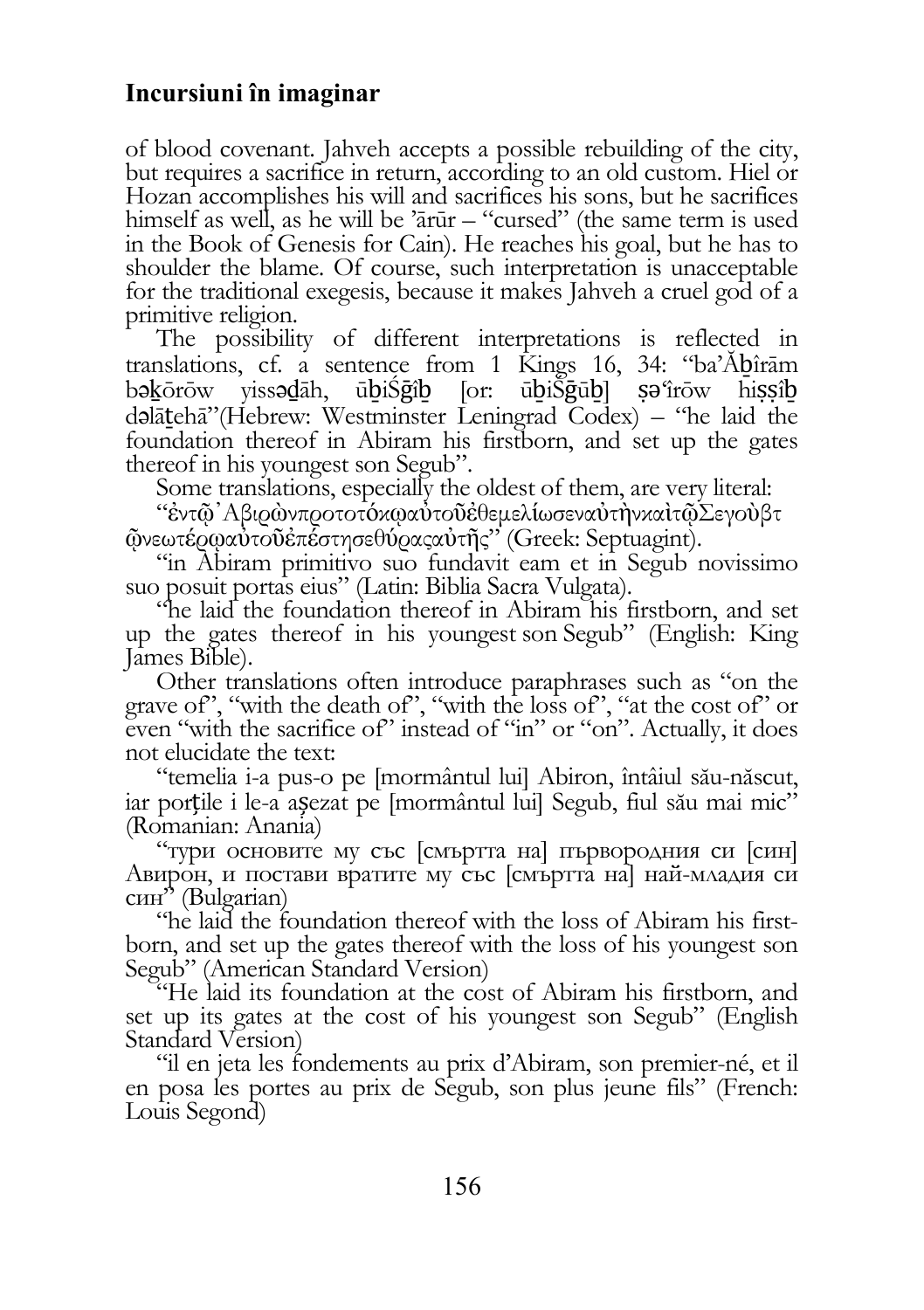of blood covenant. Jahveh accepts a possible rebuilding of the city, but requires a sacrifice in return, according to an old custom. Hiel or Hozan accomplishes his will and sacrifices his sons, but he sacrifices himself as well, as he will be 'arūr – "cursed" (the same term is used in the Book of Genesis for Cain). He reaches his goal, but he has to shoulder the blame. Of course, such interpretation is unacceptable for the traditional exegesis, because it makes Jahveh a cruel god of a primitive religion.

The possibility of different interpretations is reflected in translations, cf. a sentence from 1 Kings 16, 34: "ba'Åbîrām<br>bəkōrōw yissədāh, ūbiŚğib [or: ūbiŚğūb] sə îrōw hissîb bəkōrōw yissədāh, ūbiŚ@îb [or: dəlāṯehā"(Hebrew: Westminster Leningrad Codex) – "he laid the foundation thereof in Abiram his firstborn, and set up the gates thereof in his youngest son Segub".

Some translations, especially the oldest of them, are very literal:

"ἐντῷ᾿ΑβιρὼνπροτοτόκῳαὐτοῦἐθεμελίωσεναὐτὴνκαὶτῷΣεγοὺβτ ῷνεωτέρῳαὐτοῦἐπέστησεθύραςαὐτῆς" (Greek: Septuagint).

"in Abiram primitivo suo fundavit eam et in Segub novissimo suo posuit portas eius" (Latin: Biblia Sacra Vulgata).

"he laid the foundation thereof in Abiram his firstborn, and set up the gates thereof in his youngest son Segub" (English: King James Bible).

Other translations often introduce paraphrases such as "on the grave of", "with the death of", "with the loss of", "at the cost of" or even "with the sacrifice of" instead of "in" or "on". Actually, it does not elucidate the text:

"temelia i-a pus-o pe [mormântul lui] Abiron, întâiul său-născut, iar porțile i le-a asezat pe [mormântul lui] Segub, fiul său mai mic" (Romanian: Anania)

"тури основите му със [смъртта на] първородния си [син] Авирон, и постави вратите му със [смъртта на] най-младия си син" (Bulgarian)

"he laid the foundation thereof with the loss of Abiram his firstborn, and set up the gates thereof with the loss of his youngest son Segub" (American Standard Version)

"He laid its foundation at the cost of Abiram his firstborn, and set up its gates at the cost of his youngest son Segub" (English Standard Version)

"il en jeta les fondements au prix d'Abiram, son premier-né, et il en posa les portes au prix de Segub, son plus jeune fils" (French: Louis Segond)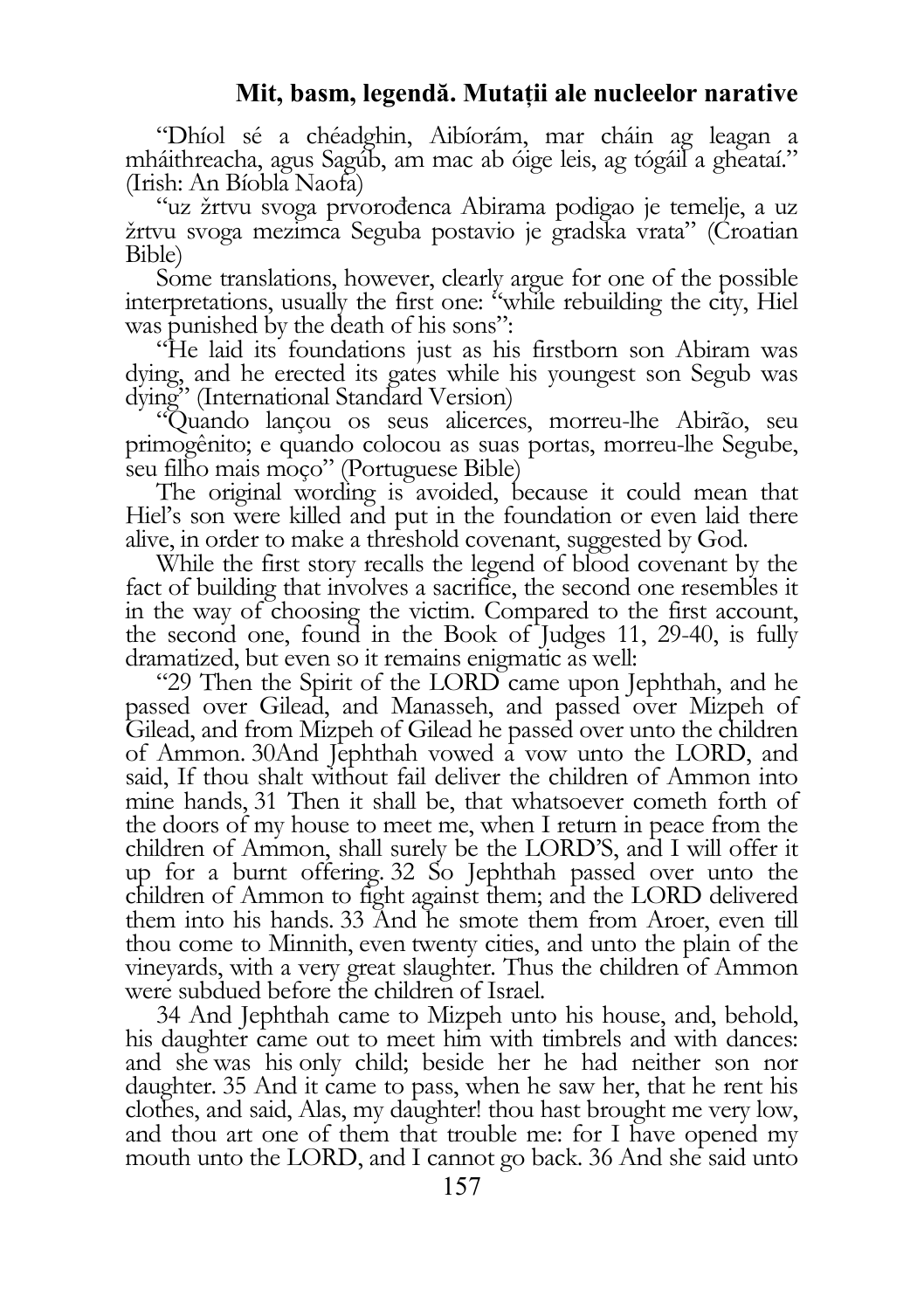"Dhíol sé a chéadghin, Aibíorám, mar cháin ag leagan a mháithreacha, agus Sagúb, am mac ab óige leis, ag tógáil a gheataí." (Irish: An Bíobla Naofa)

"uz žrtvu svoga prvorođenca Abirama podigao je temelje, a uz žrtvu svoga mezimca Seguba postavio je gradska vrata" (Croatian Bible)

Some translations, however, clearly argue for one of the possible interpretations, usually the first one: "while rebuilding the city, Hiel was punished by the death of his sons":

"He laid its foundations just as his firstborn son Abiram was dying, and he erected its gates while his youngest son Segub was dying" (International Standard Version)

"Quando lançou os seus alicerces, morreu-lhe Abirão, seu primogênito; e quando colocou as suas portas, morreu-lhe Segube, seu filho mais moço" (Portuguese Bible)

The original wording is avoided, because it could mean that Hiel's son were killed and put in the foundation or even laid there alive, in order to make a threshold covenant, suggested by God.

While the first story recalls the legend of blood covenant by the fact of building that involves a sacrifice, the second one resembles it in the way of choosing the victim. Compared to the first account, the second one, found in the Book of Judges 11, 29-40, is fully dramatized, but even so it remains enigmatic as well:

"29 Then the Spirit of the LORD came upon Jephthah, and he passed over Gilead, and Manasseh, and passed over Mizpeh of Gilead, and from Mizpeh of Gilead he passed over unto the children of Ammon. 30And Jephthah vowed a vow unto the LORD, and said, If thou shalt without fail deliver the children of Ammon into mine hands, 31 Then it shall be, that whatsoever cometh forth of the doors of my house to meet me, when I return in peace from the children of Ammon, shall surely be the LORD'S, and I will offer it up for a burnt offering. 32 So Jephthah passed over unto the children of Ammon to fight against them; and the LORD delivered them into his hands. 33 And he smote them from Aroer, even till thou come to Minnith, even twenty cities, and unto the plain of the vineyards, with a very great slaughter. Thus the children of Ammon were subdued before the children of Israel.

34 And Jephthah came to Mizpeh unto his house, and, behold, his daughter came out to meet him with timbrels and with dances: and she was his only child; beside her he had neither son nor daughter. 35 And it came to pass, when he saw her, that he rent his clothes, and said, Alas, my daughter! thou hast brought me very low, and thou art one of them that trouble me: for I have opened my mouth unto the LORD, and I cannot go back. 36 And she said unto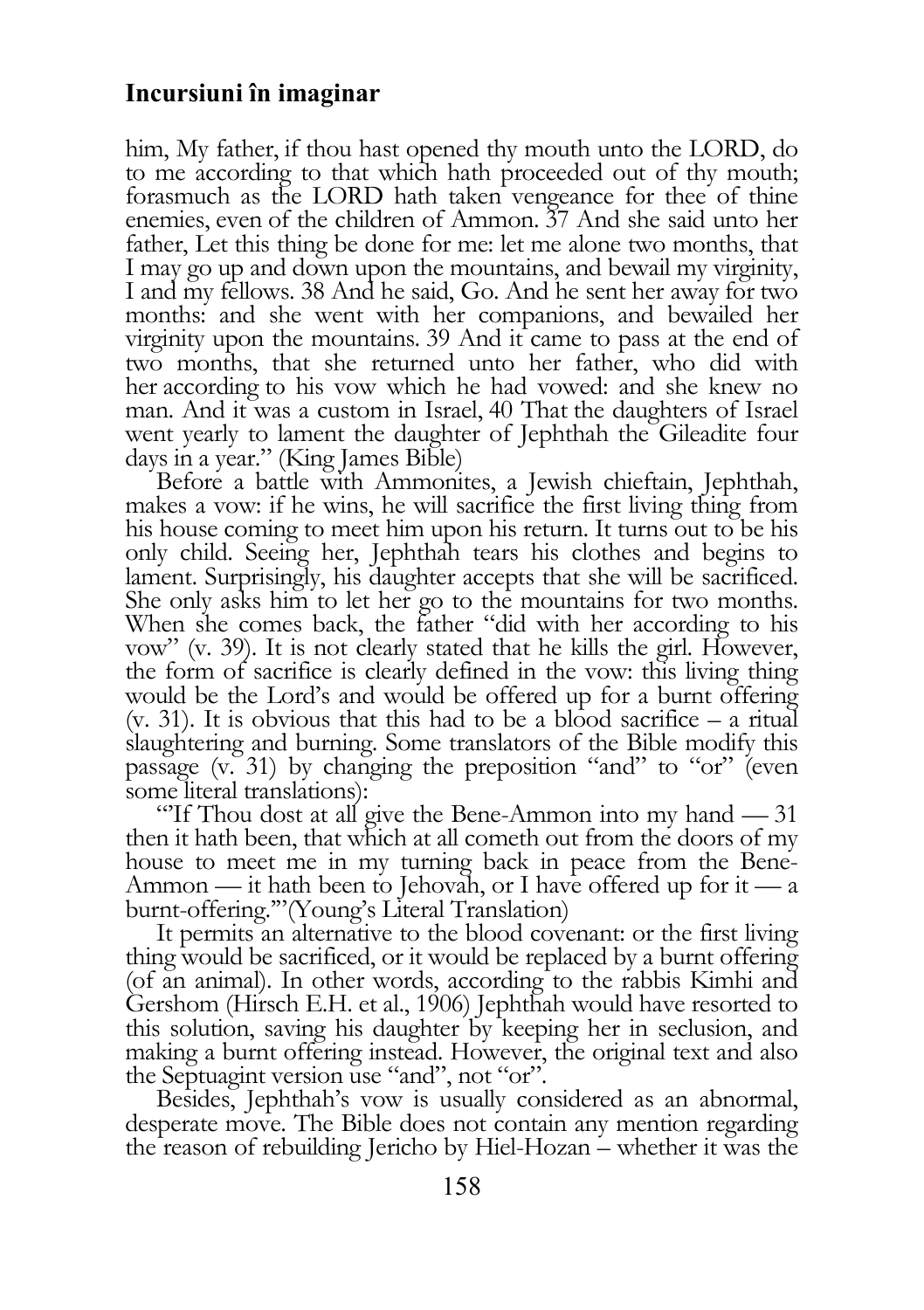him, My father, if thou hast opened thy mouth unto the LORD, do to me according to that which hath proceeded out of thy mouth; forasmuch as the LORD hath taken vengeance for thee of thine enemies, even of the children of Ammon. 37 And she said unto her father, Let this thing be done for me: let me alone two months, that I may go up and down upon the mountains, and bewail my virginity, I and my fellows. 38 And he said, Go. And he sent her away for two months: and she went with her companions, and bewailed her virginity upon the mountains. 39 And it came to pass at the end of two months, that she returned unto her father, who did with her according to his vow which he had vowed: and she knew no man. And it was a custom in Israel, 40 That the daughters of Israel went yearly to lament the daughter of Jephthah the Gileadite four days in a year." (King James Bible)

Before a battle with Ammonites, a Jewish chieftain, Jephthah, makes a vow: if he wins, he will sacrifice the first living thing from his house coming to meet him upon his return. It turns out to be his only child. Seeing her, Jephthah tears his clothes and begins to lament. Surprisingly, his daughter accepts that she will be sacrificed. She only asks him to let her go to the mountains for two months. When she comes back, the father "did with her according to his vow" (v. 39). It is not clearly stated that he kills the girl. However, the form of sacrifice is clearly defined in the vow: this living thing would be the Lord's and would be offered up for a burnt offering  $(v. 31)$ . It is obvious that this had to be a blood sacrifice – a ritual slaughtering and burning. Some translators of the Bible modify this passage (v. 31) by changing the preposition "and" to "or" (even some literal translations):

"'If Thou dost at all give the Bene-Ammon into my hand — 31 then it hath been, that which at all cometh out from the doors of my house to meet me in my turning back in peace from the Bene-Ammon — it hath been to Jehovah, or I have offered up for it — a burnt-offering.'"(Young's Literal Translation)

It permits an alternative to the blood covenant: or the first living thing would be sacrificed, or it would be replaced by a burnt offering (of an animal). In other words, according to the rabbis Kimhi and Gershom (Hirsch E.H. et al., 1906) Jephthah would have resorted to this solution, saving his daughter by keeping her in seclusion, and making a burnt offering instead. However, the original text and also the Septuagint version use "and", not "or".

Besides, Jephthah's vow is usually considered as an abnormal, desperate move. The Bible does not contain any mention regarding the reason of rebuilding Jericho by Hiel-Hozan – whether it was the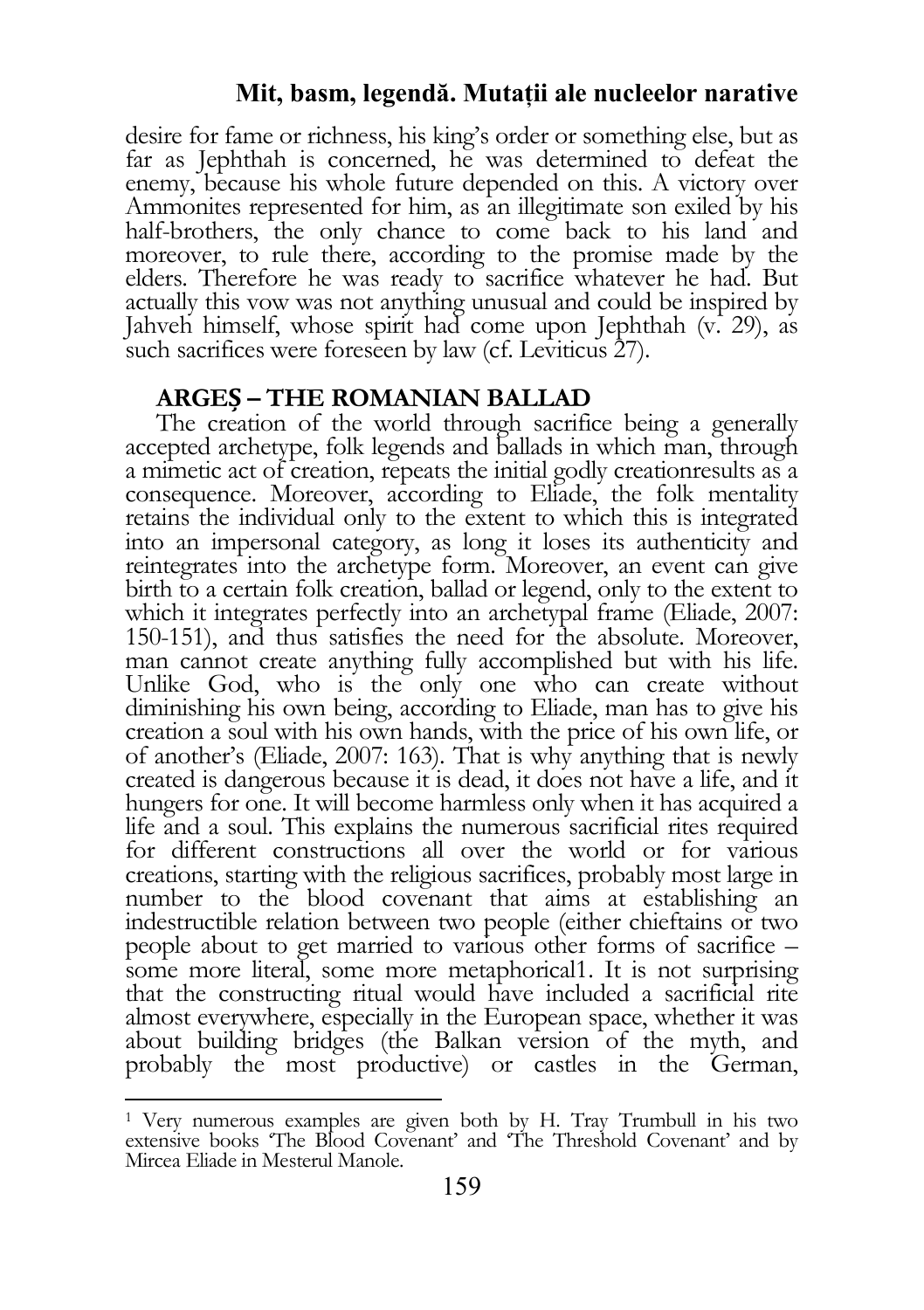desire for fame or richness, his king's order or something else, but as far as Jephthah is concerned, he was determined to defeat the enemy, because his whole future depended on this. A victory over Ammonites represented for him, as an illegitimate son exiled by his half-brothers, the only chance to come back to his land and moreover, to rule there, according to the promise made by the elders. Therefore he was ready to sacrifice whatever he had. But actually this vow was not anything unusual and could be inspired by Jahveh himself, whose spirit had come upon Jephthah  $(v. 29)$ , as such sacrifices were foreseen by law (cf. Leviticus 27).

#### ARGEȘ – THE ROMANIAN BALLAD

The creation of the world through sacrifice being a generally accepted archetype, folk legends and ballads in which man, through a mimetic act of creation, repeats the initial godly creationresults as a consequence. Moreover, according to Eliade, the folk mentality retains the individual only to the extent to which this is integrated into an impersonal category, as long it loses its authenticity and reintegrates into the archetype form. Moreover, an event can give birth to a certain folk creation, ballad or legend, only to the extent to which it integrates perfectly into an archetypal frame (Eliade, 2007: 150-151), and thus satisfies the need for the absolute. Moreover, man cannot create anything fully accomplished but with his life. Unlike God, who is the only one who can create without diminishing his own being, according to Eliade, man has to give his creation a soul with his own hands, with the price of his own life, or of another's (Eliade, 2007: 163). That is why anything that is newly created is dangerous because it is dead, it does not have a life, and it hungers for one. It will become harmless only when it has acquired a life and a soul. This explains the numerous sacrificial rites required for different constructions all over the world or for various creations, starting with the religious sacrifices, probably most large in number to the blood covenant that aims at establishing an indestructible relation between two people (either chieftains or two people about to get married to various other forms of sacrifice – some more literal, some more metaphorical1. It is not surprising that the constructing ritual would have included a sacrificial rite almost everywhere, especially in the European space, whether it was about building bridges (the Balkan version of the myth, and probably the most productive) or castles in the German,

 $\overline{a}$ 

<sup>1</sup> Very numerous examples are given both by H. Tray Trumbull in his two extensive books 'The Blood Covenant' and 'The Threshold Covenant' and by Mircea Eliade in Mesterul Manole.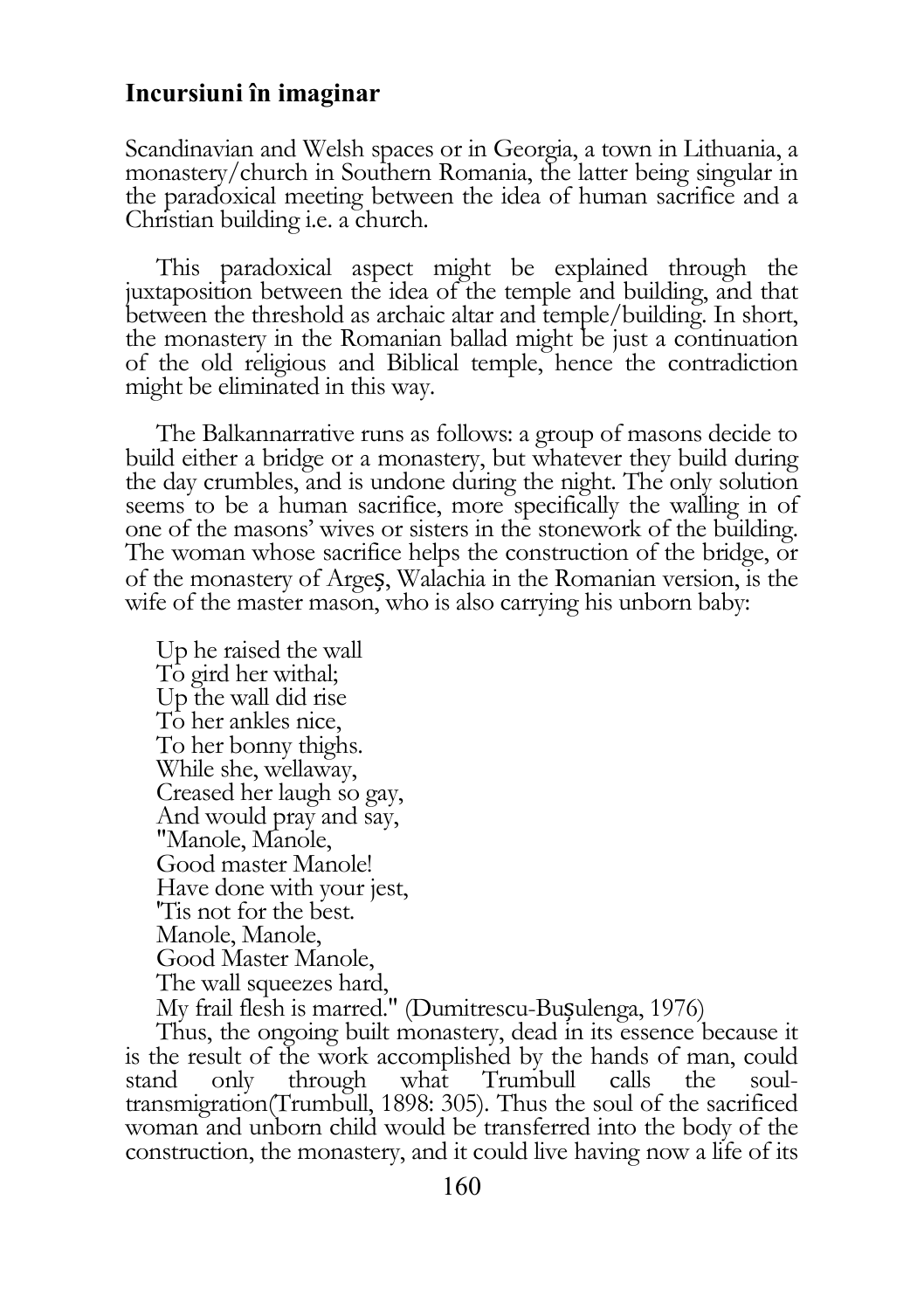Scandinavian and Welsh spaces or in Georgia, a town in Lithuania, a monastery/church in Southern Romania, the latter being singular in the paradoxical meeting between the idea of human sacrifice and a Christian building i.e. a church.

This paradoxical aspect might be explained through the juxtaposition between the idea of the temple and building, and that between the threshold as archaic altar and temple/building. In short, the monastery in the Romanian ballad might be just a continuation of the old religious and Biblical temple, hence the contradiction might be eliminated in this way.

The Balkannarrative runs as follows: a group of masons decide to build either a bridge or a monastery, but whatever they build during the day crumbles, and is undone during the night. The only solution seems to be a human sacrifice, more specifically the walling in of one of the masons' wives or sisters in the stonework of the building. The woman whose sacrifice helps the construction of the bridge, or of the monastery of Argeș, Walachia in the Romanian version, is the wife of the master mason, who is also carrying his unborn baby:

Up he raised the wall To gird her withal; Up the wall did rise To her ankles nice, To her bonny thighs. While she, wellaway, Creased her laugh so gay, And would pray and say, "Manole, Manole, Good master Manole! Have done with your jest, 'Tis not for the best. Manole, Manole, Good Master Manole, The wall squeezes hard,

My frail flesh is marred." (Dumitrescu-Bușulenga, 1976)

Thus, the ongoing built monastery, dead in its essence because it is the result of the work accomplished by the hands of man, could stand only through what Trumbull calls the soultransmigration(Trumbull, 1898: 305). Thus the soul of the sacrificed woman and unborn child would be transferred into the body of the construction, the monastery, and it could live having now a life of its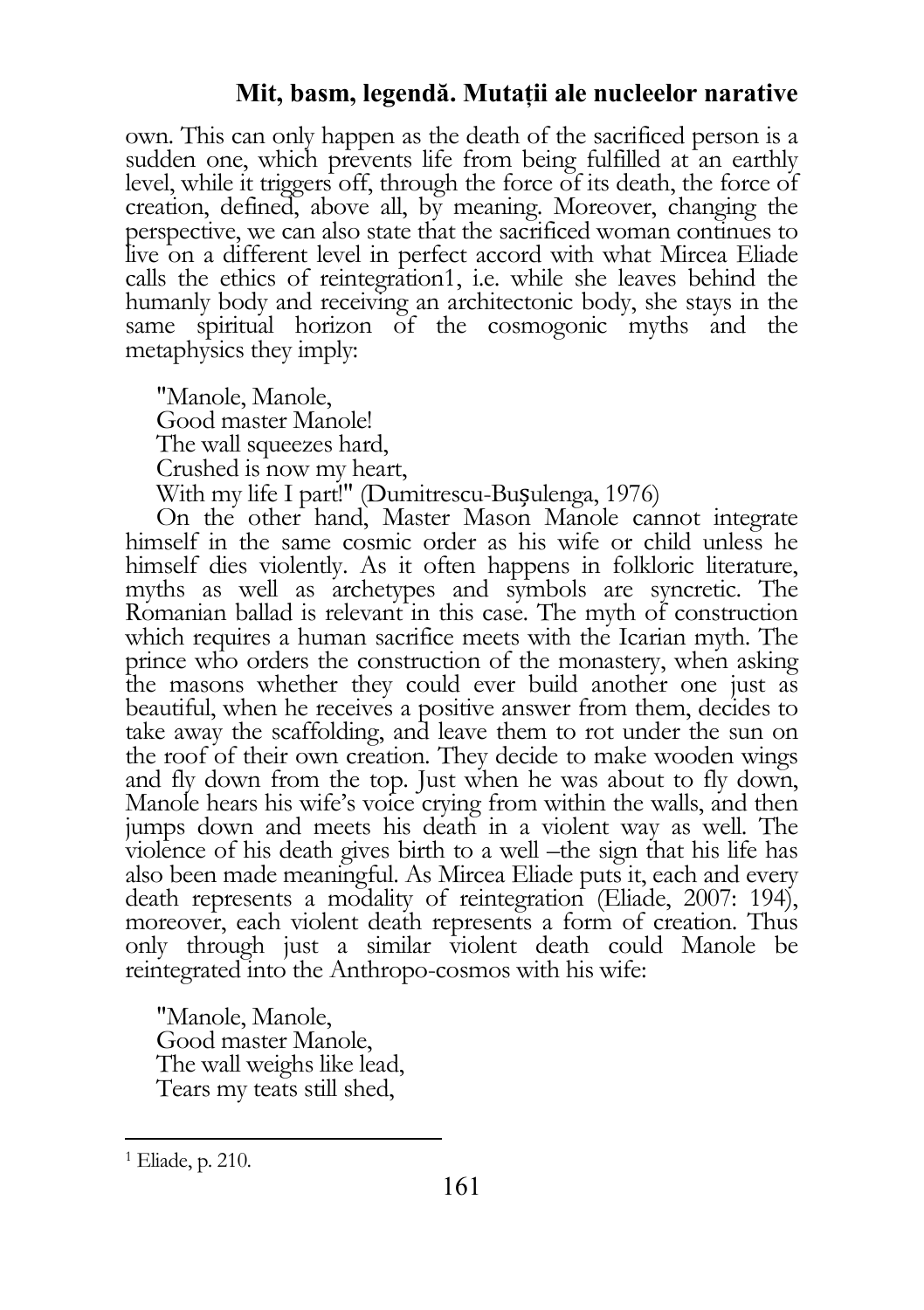own. This can only happen as the death of the sacrificed person is a sudden one, which prevents life from being fulfilled at an earthly level, while it triggers off, through the force of its death, the force of creation, defined, above all, by meaning. Moreover, changing the perspective, we can also state that the sacrificed woman continues to live on a different level in perfect accord with what Mircea Eliade calls the ethics of reintegration1, i.e. while she leaves behind the humanly body and receiving an architectonic body, she stays in the same spiritual horizon of the cosmogonic myths and the metaphysics they imply:

"Manole, Manole, Good master Manole! The wall squeezes hard, Crushed is now my heart, With my life I part!" (Dumitrescu-Bușulenga, 1976)

On the other hand, Master Mason Manole cannot integrate himself in the same cosmic order as his wife or child unless he himself dies violently. As it often happens in folkloric literature, myths as well as archetypes and symbols are syncretic. The Romanian ballad is relevant in this case. The myth of construction which requires a human sacrifice meets with the Icarian myth. The prince who orders the construction of the monastery, when asking the masons whether they could ever build another one just as beautiful, when he receives a positive answer from them, decides to take away the scaffolding, and leave them to rot under the sun on the roof of their own creation. They decide to make wooden wings and fly down from the top. Just when he was about to fly down, Manole hears his wife's voice crying from within the walls, and then jumps down and meets his death in a violent way as well. The violence of his death gives birth to a well –the sign that his life has also been made meaningful. As Mircea Eliade puts it, each and every death represents a modality of reintegration (Eliade, 2007: 194), moreover, each violent death represents a form of creation. Thus only through just a similar violent death could Manole be reintegrated into the Anthropo-cosmos with his wife:

"Manole, Manole, Good master Manole, The wall weighs like lead, Tears my teats still shed,

 $\overline{a}$ 

<sup>1</sup> Eliade, p. 210.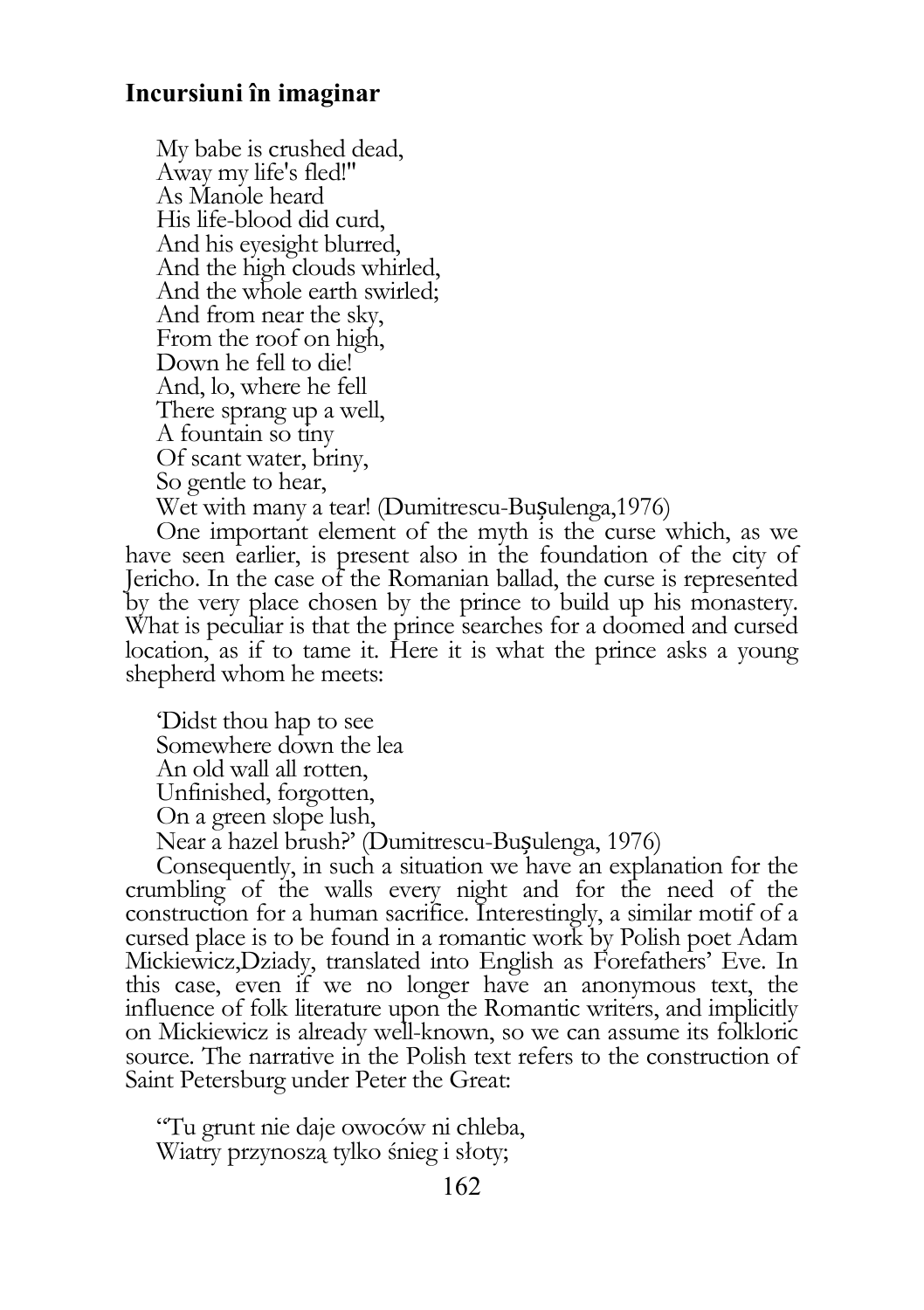My babe is crushed dead, Away my life's fled!" As Manole heard His life-blood did curd, And his eyesight blurred, And the high clouds whirled, And the whole earth swirled; And from near the sky, From the roof on high, Down he fell to die! And, lo, where he fell There sprang up a well, A fountain so tiny Of scant water, briny, So gentle to hear, Wet with many a tear! (Dumitrescu-Bușulenga,1976)

One important element of the myth is the curse which, as we have seen earlier, is present also in the foundation of the city of Jericho. In the case of the Romanian ballad, the curse is represented by the very place chosen by the prince to build up his monastery. What is peculiar is that the prince searches for a doomed and cursed location, as if to tame it. Here it is what the prince asks a young shepherd whom he meets:

'Didst thou hap to see Somewhere down the lea An old wall all rotten, Unfinished, forgotten, On a green slope lush,

Near a hazel brush?' (Dumitrescu-Bușulenga, 1976)

Consequently, in such a situation we have an explanation for the crumbling of the walls every night and for the need of the construction for a human sacrifice. Interestingly, a similar motif of a cursed place is to be found in a romantic work by Polish poet Adam Mickiewicz,Dziady, translated into English as Forefathers' Eve. In this case, even if we no longer have an anonymous text, the influence of folk literature upon the Romantic writers, and implicitly on Mickiewicz is already well-known, so we can assume its folkloric source. The narrative in the Polish text refers to the construction of Saint Petersburg under Peter the Great:

"Tu grunt nie daje owoców ni chleba, Wiatry przynoszą tylko śnieg i słoty;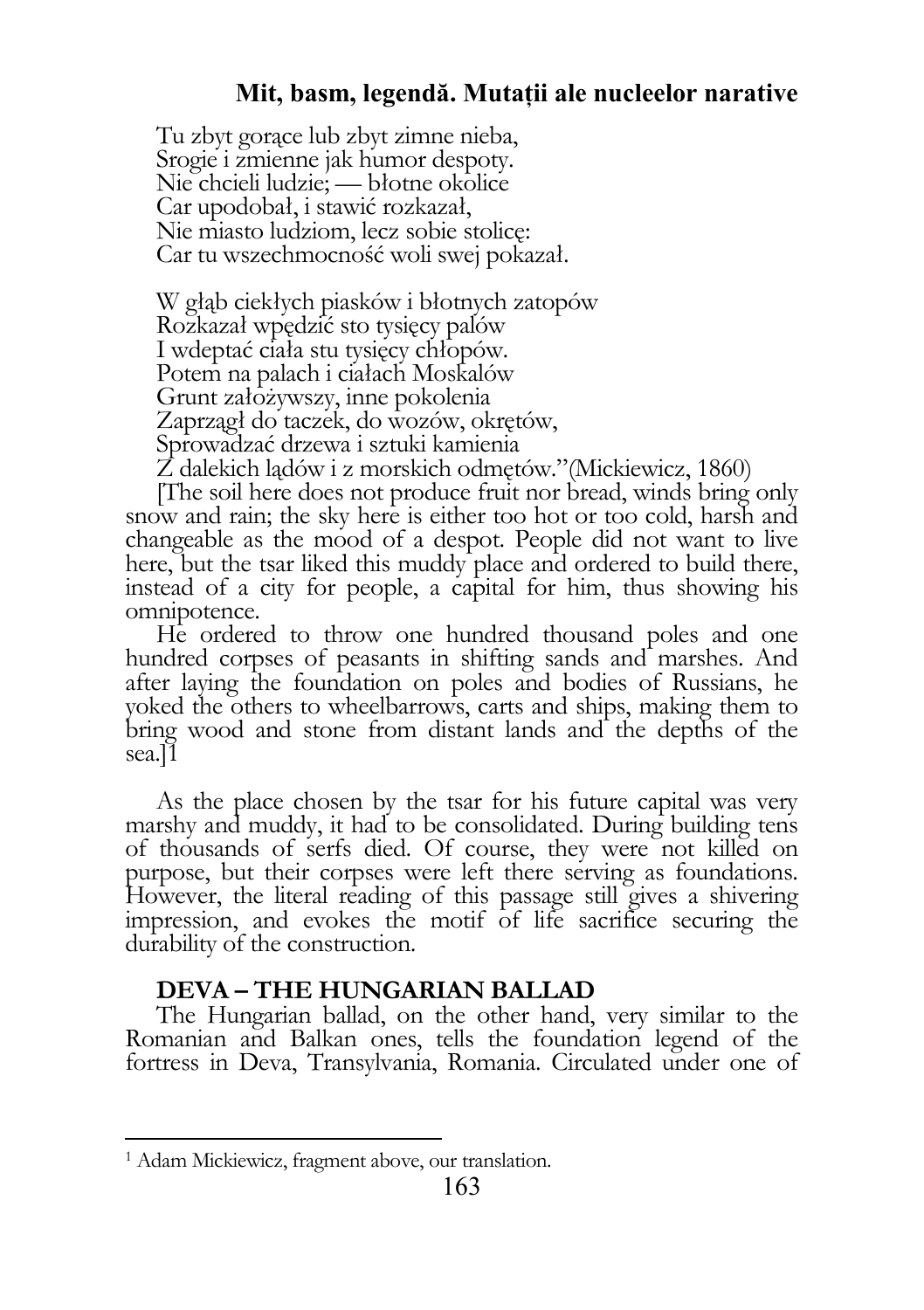Tu zbyt gorące lub zbyt zimne nieba, Srogie i zmienne jak humor despoty. Nie chcieli ludzie; — błotne okolice Car upodobał, i stawić rozkazał, Nie miasto ludziom, lecz sobie stolicę: Car tu wszechmocność woli swej pokazał.

W głąb ciekłych piasków i błotnych zatopów Rozkazał wpędzić sto tysięcy palów I wdeptać ciała stu tysięcy chłopów. Potem na palach i ciałach Moskalów Grunt założywszy, inne pokolenia Zaprzągł do taczek, do wozów, okrętów, Sprowadzać drzewa i sztuki kamienia Z dalekich lądów i z morskich odmętów."(Mickiewicz, 1860)

[The soil here does not produce fruit nor bread, winds bring only snow and rain; the sky here is either too hot or too cold, harsh and changeable as the mood of a despot. People did not want to live here, but the tsar liked this muddy place and ordered to build there, instead of a city for people, a capital for him, thus showing his omnipotence.

He ordered to throw one hundred thousand poles and one hundred corpses of peasants in shifting sands and marshes. And after laying the foundation on poles and bodies of Russians, he yoked the others to wheelbarrows, carts and ships, making them to bring wood and stone from distant lands and the depths of the sea.<sub>11</sub>

As the place chosen by the tsar for his future capital was very marshy and muddy, it had to be consolidated. During building tens of thousands of serfs died. Of course, they were not killed on purpose, but their corpses were left there serving as foundations. However, the literal reading of this passage still gives a shivering impression, and evokes the motif of life sacrifice securing the durability of the construction.

#### DEVA – THE HUNGARIAN BALLAD

The Hungarian ballad, on the other hand, very similar to the Romanian and Balkan ones, tells the foundation legend of the fortress in Deva, Transylvania, Romania. Circulated under one of

 $\overline{a}$ 

<sup>1</sup> Adam Mickiewicz, fragment above, our translation.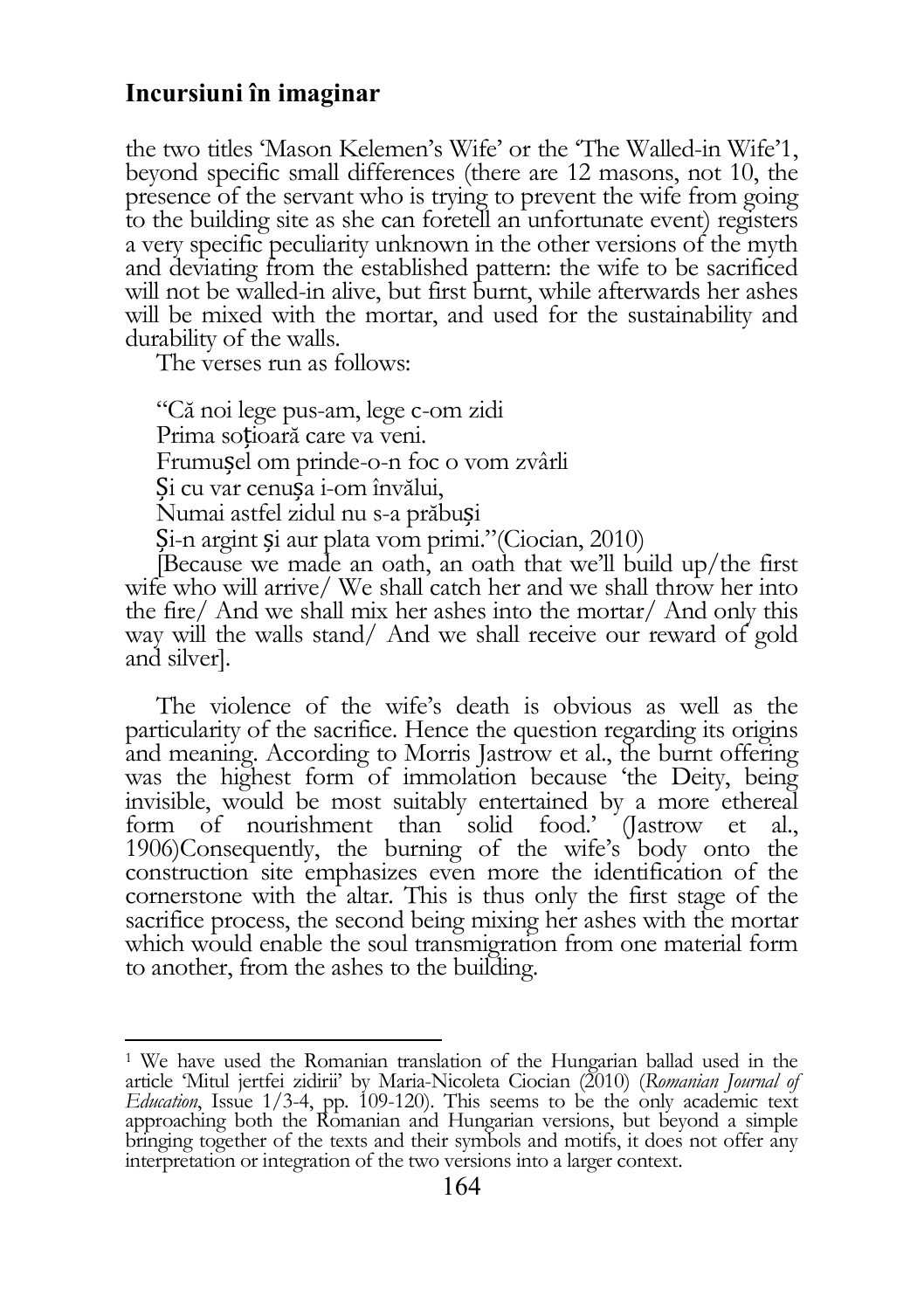the two titles 'Mason Kelemen's Wife' or the 'The Walled-in Wife'1, beyond specific small differences (there are 12 masons, not 10, the presence of the servant who is trying to prevent the wife from going to the building site as she can foretell an unfortunate event) registers a very specific peculiarity unknown in the other versions of the myth and deviating from the established pattern: the wife to be sacrificed will not be walled-in alive, but first burnt, while afterwards her ashes will be mixed with the mortar, and used for the sustainability and durability of the walls.

The verses run as follows:

"Că noi lege pus-am, lege c-om zidi Prima soțioară care va veni. Frumușel om prinde-o-n foc o vom zvârli Și cu var cenușa i-om învălui, Numai astfel zidul nu s-a prăbuși Și-n argint și aur plata vom primi."(Ciocian, 2010)

[Because we made an oath, an oath that we'll build up/the first wife who will arrive/ We shall catch her and we shall throw her into the fire/ And we shall mix her ashes into the mortar/ And only this way will the walls stand/ And we shall receive our reward of gold and silver].

The violence of the wife's death is obvious as well as the particularity of the sacrifice. Hence the question regarding its origins and meaning. According to Morris Jastrow et al., the burnt offering was the highest form of immolation because 'the Deity, being invisible, would be most suitably entertained by a more ethereal form of nourishment than solid food.' (Jastrow et al., 1906)Consequently, the burning of the wife's body onto the construction site emphasizes even more the identification of the cornerstone with the altar. This is thus only the first stage of the sacrifice process, the second being mixing her ashes with the mortar which would enable the soul transmigration from one material form to another, from the ashes to the building.

 $\overline{a}$ <sup>1</sup> We have used the Romanian translation of the Hungarian ballad used in the article 'Mitul jertfei zidirii' by Maria-Nicoleta Ciocian (2010) (Romanian Journal of Education, Issue 1/3-4, pp. 109-120). This seems to be the only academic text approaching both the Romanian and Hungarian versions, but beyond a simple bringing together of the texts and their symbols and motifs, it does not offer any interpretation or integration of the two versions into a larger context.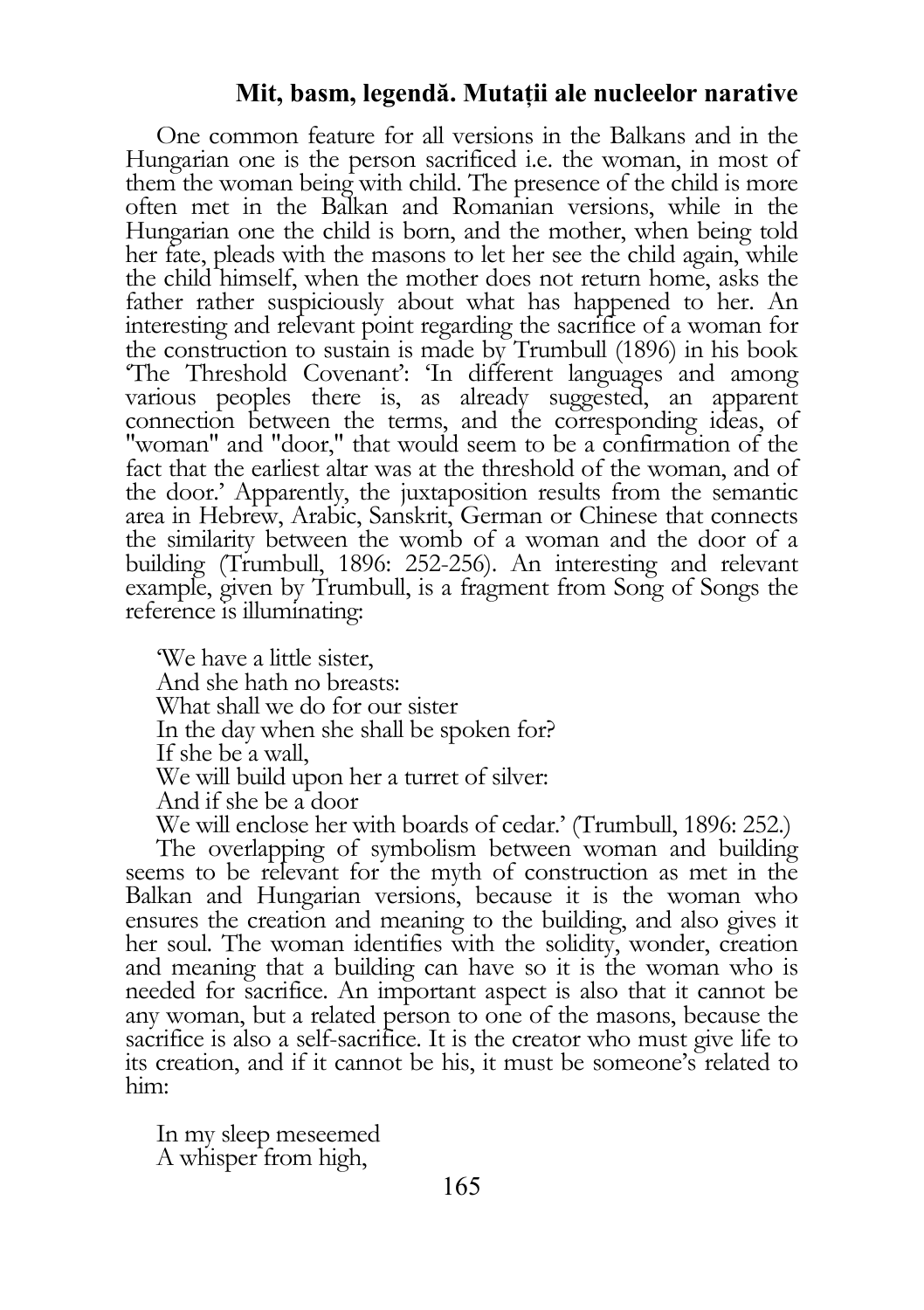One common feature for all versions in the Balkans and in the Hungarian one is the person sacrificed i.e. the woman, in most of them the woman being with child. The presence of the child is more often met in the Balkan and Romanian versions, while in the Hungarian one the child is born, and the mother, when being told her fate, pleads with the masons to let her see the child again, while the child himself, when the mother does not return home, asks the father rather suspiciously about what has happened to her. An interesting and relevant point regarding the sacrifice of a woman for the construction to sustain is made by Trumbull (1896) in his book 'The Threshold Covenant': 'In different languages and among various peoples there is, as already suggested, an apparent connection between the terms, and the corresponding ideas, of "woman" and "door," that would seem to be a confirmation of the fact that the earliest altar was at the threshold of the woman, and of the door.' Apparently, the juxtaposition results from the semantic area in Hebrew, Arabic, Sanskrit, German or Chinese that connects the similarity between the womb of a woman and the door of a building (Trumbull, 1896: 252-256). An interesting and relevant example, given by Trumbull, is a fragment from Song of Songs the reference is illuminating:

'We have a little sister, And she hath no breasts: What shall we do for our sister In the day when she shall be spoken for? If she be a wall, We will build upon her a turret of silver: And if she be a door We will enclose her with boards of cedar.' (Trumbull, 1896: 252.)

The overlapping of symbolism between woman and building seems to be relevant for the myth of construction as met in the Balkan and Hungarian versions, because it is the woman who ensures the creation and meaning to the building, and also gives it her soul. The woman identifies with the solidity, wonder, creation and meaning that a building can have so it is the woman who is needed for sacrifice. An important aspect is also that it cannot be any woman, but a related person to one of the masons, because the sacrifice is also a self-sacrifice. It is the creator who must give life to its creation, and if it cannot be his, it must be someone's related to him:

In my sleep meseemed A whisper from high,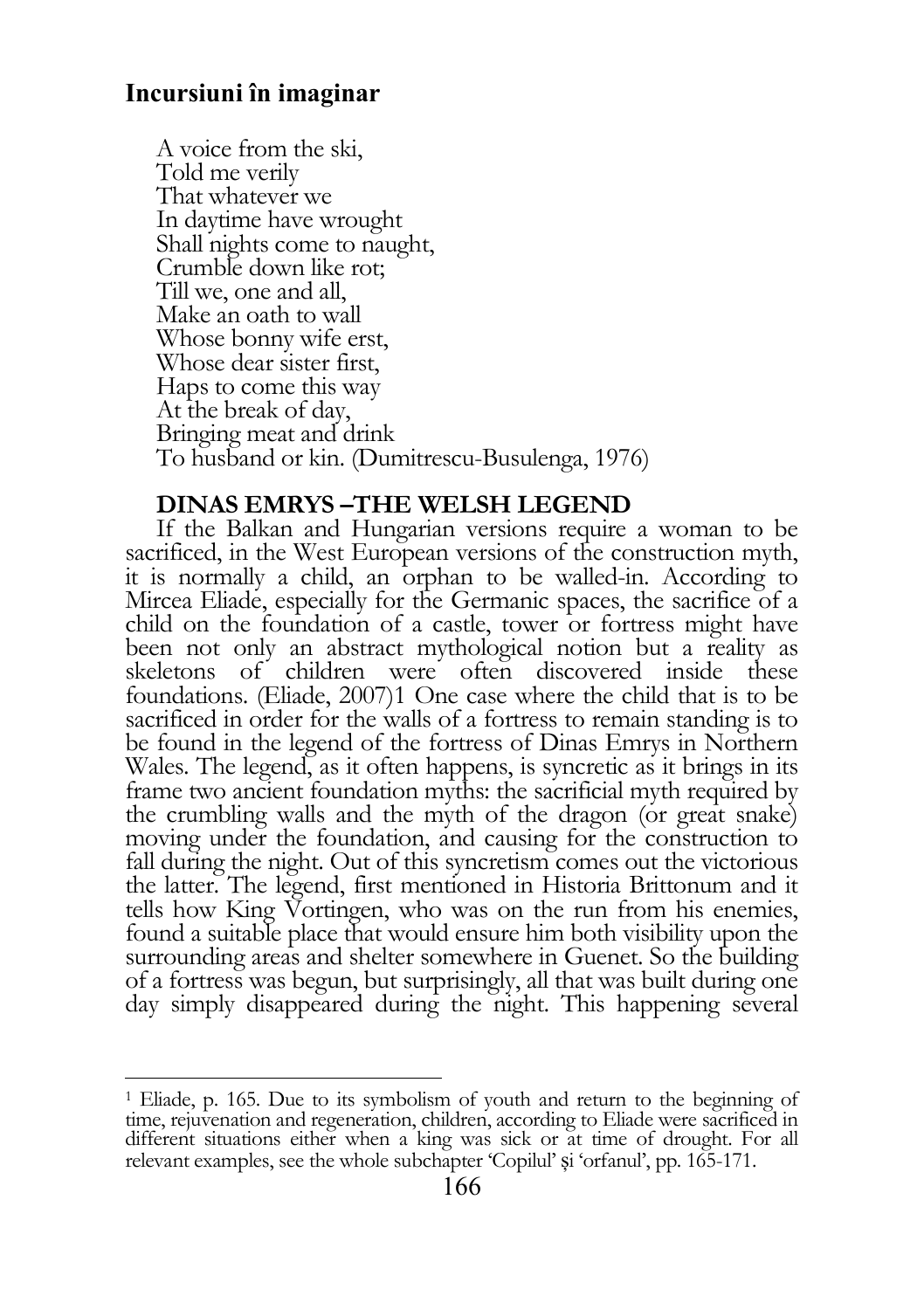A voice from the ski, Told me verily That whatever we In daytime have wrought Shall nights come to naught, Crumble down like rot; Till we, one and all, Make an oath to wall Whose bonny wife erst, Whose dear sister first, Haps to come this way At the break of day, Bringing meat and drink To husband or kin. (Dumitrescu-Busulenga, 1976)

#### DINAS EMRYS –THE WELSH LEGEND

If the Balkan and Hungarian versions require a woman to be sacrificed, in the West European versions of the construction myth, it is normally a child, an orphan to be walled-in. According to Mircea Eliade, especially for the Germanic spaces, the sacrifice of a child on the foundation of a castle, tower or fortress might have been not only an abstract mythological notion but a reality as skeletons of children were often discovered inside these foundations. (Eliade, 2007)1 One case where the child that is to be sacrificed in order for the walls of a fortress to remain standing is to be found in the legend of the fortress of Dinas Emrys in Northern Wales. The legend, as it often happens, is syncretic as it brings in its frame two ancient foundation myths: the sacrificial myth required by the crumbling walls and the myth of the dragon (or great snake) moving under the foundation, and causing for the construction to fall during the night. Out of this syncretism comes out the victorious the latter. The legend, first mentioned in Historia Brittonum and it tells how King Vortingen, who was on the run from his enemies, found a suitable place that would ensure him both visibility upon the surrounding areas and shelter somewhere in Guenet. So the building of a fortress was begun, but surprisingly, all that was built during one day simply disappeared during the night. This happening several

 $\overline{a}$ <sup>1</sup> Eliade, p. 165. Due to its symbolism of youth and return to the beginning of time, rejuvenation and regeneration, children, according to Eliade were sacrificed in different situations either when a king was sick or at time of drought. For all relevant examples, see the whole subchapter 'Copilul' și 'orfanul', pp. 165-171.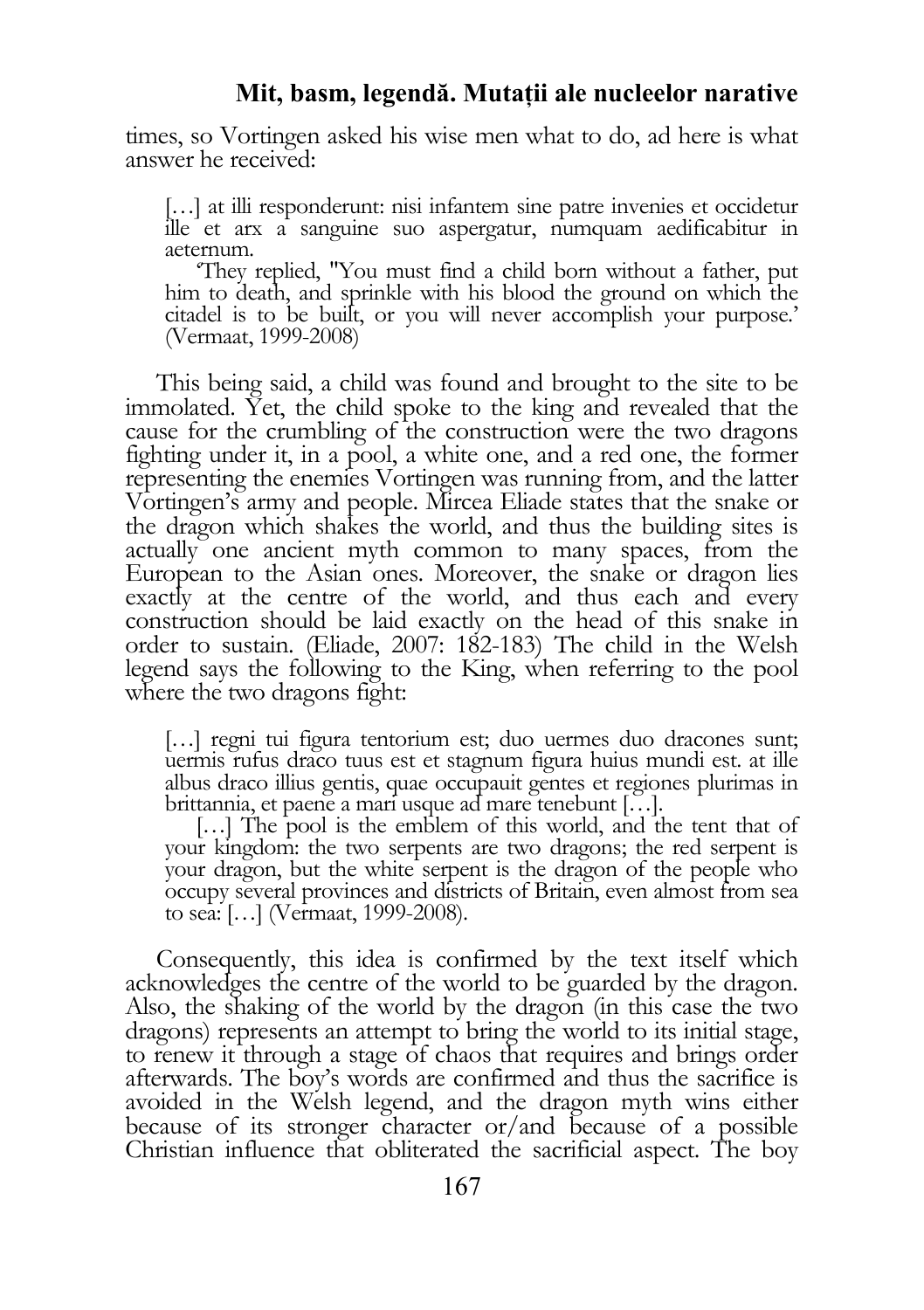times, so Vortingen asked his wise men what to do, ad here is what answer he received:

[...] at illi responderunt: nisi infantem sine patre invenies et occidetur ille et arx a sanguine suo aspergatur, numquam aedificabitur in aeternum.

'They replied, "You must find a child born without a father, put him to death, and sprinkle with his blood the ground on which the citadel is to be built, or you will never accomplish your purpose.' (Vermaat, 1999-2008)

This being said, a child was found and brought to the site to be immolated. Yet, the child spoke to the king and revealed that the cause for the crumbling of the construction were the two dragons fighting under it, in a pool, a white one, and a red one, the former representing the enemies Vortingen was running from, and the latter Vortingen's army and people. Mircea Eliade states that the snake or the dragon which shakes the world, and thus the building sites is actually one ancient myth common to many spaces, from the European to the Asian ones. Moreover, the snake or dragon lies exactly at the centre of the world, and thus each and every construction should be laid exactly on the head of this snake in order to sustain. (Eliade, 2007: 182-183) The child in the Welsh legend says the following to the King, when referring to the pool where the two dragons fight:

[...] regni tui figura tentorium est; duo uermes duo dracones sunt; uermis rufus draco tuus est et stagnum figura huius mundi est. at ille albus draco illius gentis, quae occupauit gentes et regiones plurimas in brittannia, et paene a mari usque ad mare tenebunt […].

[...] The pool is the emblem of this world, and the tent that of your kingdom: the two serpents are two dragons; the red serpent is your dragon, but the white serpent is the dragon of the people who occupy several provinces and districts of Britain, even almost from sea to sea: […] (Vermaat, 1999-2008).

Consequently, this idea is confirmed by the text itself which acknowledges the centre of the world to be guarded by the dragon. Also, the shaking of the world by the dragon (in this case the two dragons) represents an attempt to bring the world to its initial stage, to renew it through a stage of chaos that requires and brings order afterwards. The boy's words are confirmed and thus the sacrifice is avoided in the Welsh legend, and the dragon myth wins either because of its stronger character or/and because of a possible Christian influence that obliterated the sacrificial aspect. The boy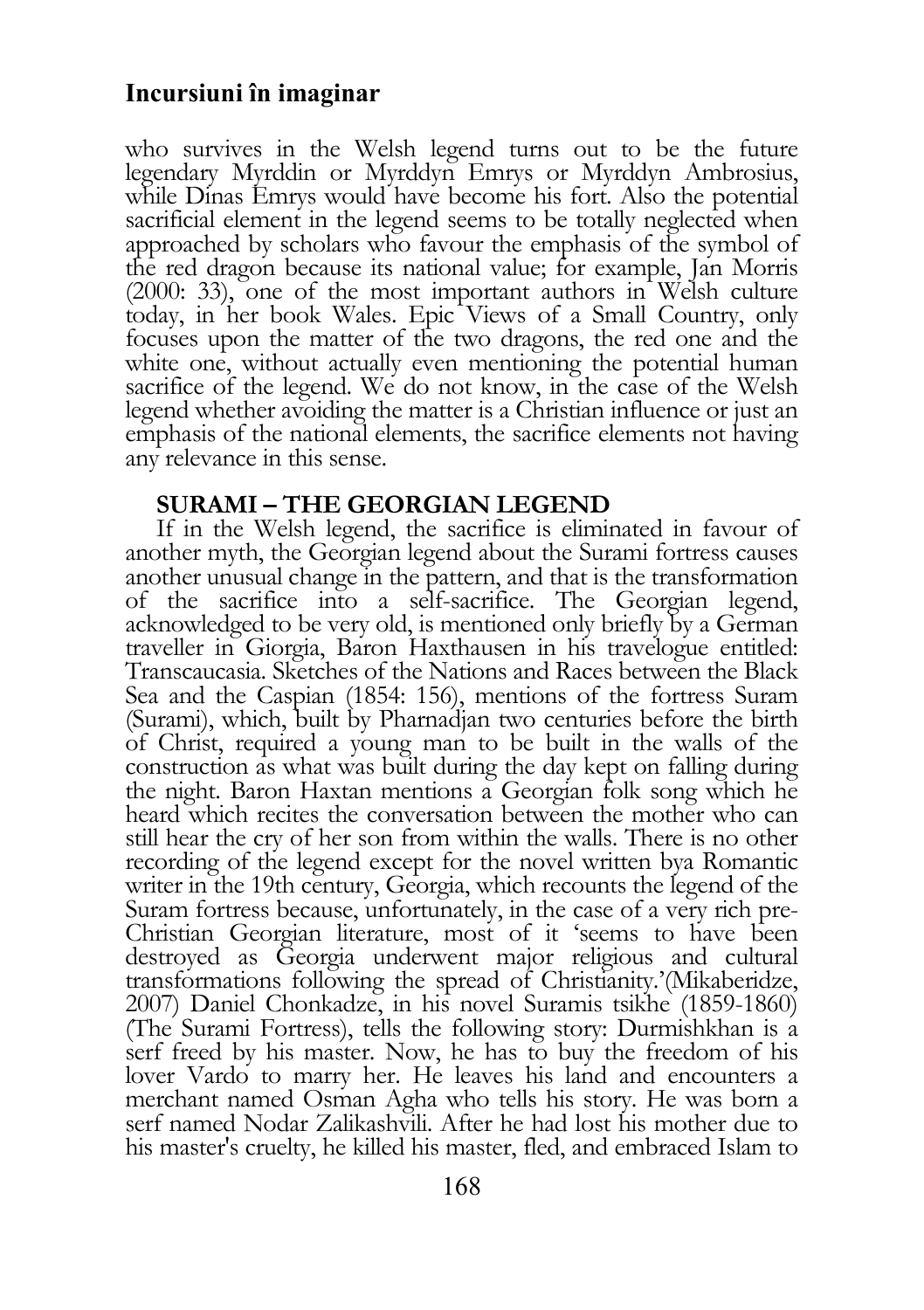who survives in the Welsh legend turns out to be the future legendary Myrddin or Myrddyn Emrys or Myrddyn Ambrosius, while Dinas Emrys would have become his fort. Also the potential sacrificial element in the legend seems to be totally neglected when approached by scholars who favour the emphasis of the symbol of the red dragon because its national value; for example, Jan Morris (2000: 33), one of the most important authors in Welsh culture today, in her book Wales. Epic Views of a Small Country, only focuses upon the matter of the two dragons, the red one and the white one, without actually even mentioning the potential human sacrifice of the legend. We do not know, in the case of the Welsh legend whether avoiding the matter is a Christian influence or just an emphasis of the national elements, the sacrifice elements not having any relevance in this sense.

#### SURAMI – THE GEORGIAN LEGEND

If in the Welsh legend, the sacrifice is eliminated in favour of another myth, the Georgian legend about the Surami fortress causes another unusual change in the pattern, and that is the transformation of the sacrifice into a self-sacrifice. The Georgian legend, acknowledged to be very old, is mentioned only briefly by a German traveller in Giorgia, Baron Haxthausen in his travelogue entitled: Transcaucasia. Sketches of the Nations and Races between the Black Sea and the Caspian (1854: 156), mentions of the fortress Suram (Surami), which, built by Pharnadjan two centuries before the birth of Christ, required a young man to be built in the walls of the construction as what was built during the day kept on falling during the night. Baron Haxtan mentions a Georgian folk song which he heard which recites the conversation between the mother who can still hear the cry of her son from within the walls. There is no other recording of the legend except for the novel written bya Romantic writer in the 19th century, Georgia, which recounts the legend of the Suram fortress because, unfortunately, in the case of a very rich pre-Christian Georgian literature, most of it 'seems to have been destroyed as Georgia underwent major religious and cultural transformations following the spread of Christianity.'(Mikaberidze, 2007) Daniel Chonkadze, in his novel Suramis tsikhe (1859-1860) (The Surami Fortress), tells the following story: Durmishkhan is a serf freed by his master. Now, he has to buy the freedom of his lover Vardo to marry her. He leaves his land and encounters a merchant named Osman Agha who tells his story. He was born a serf named Nodar Zalikashvili. After he had lost his mother due to his master's cruelty, he killed his master, fled, and embraced Islam to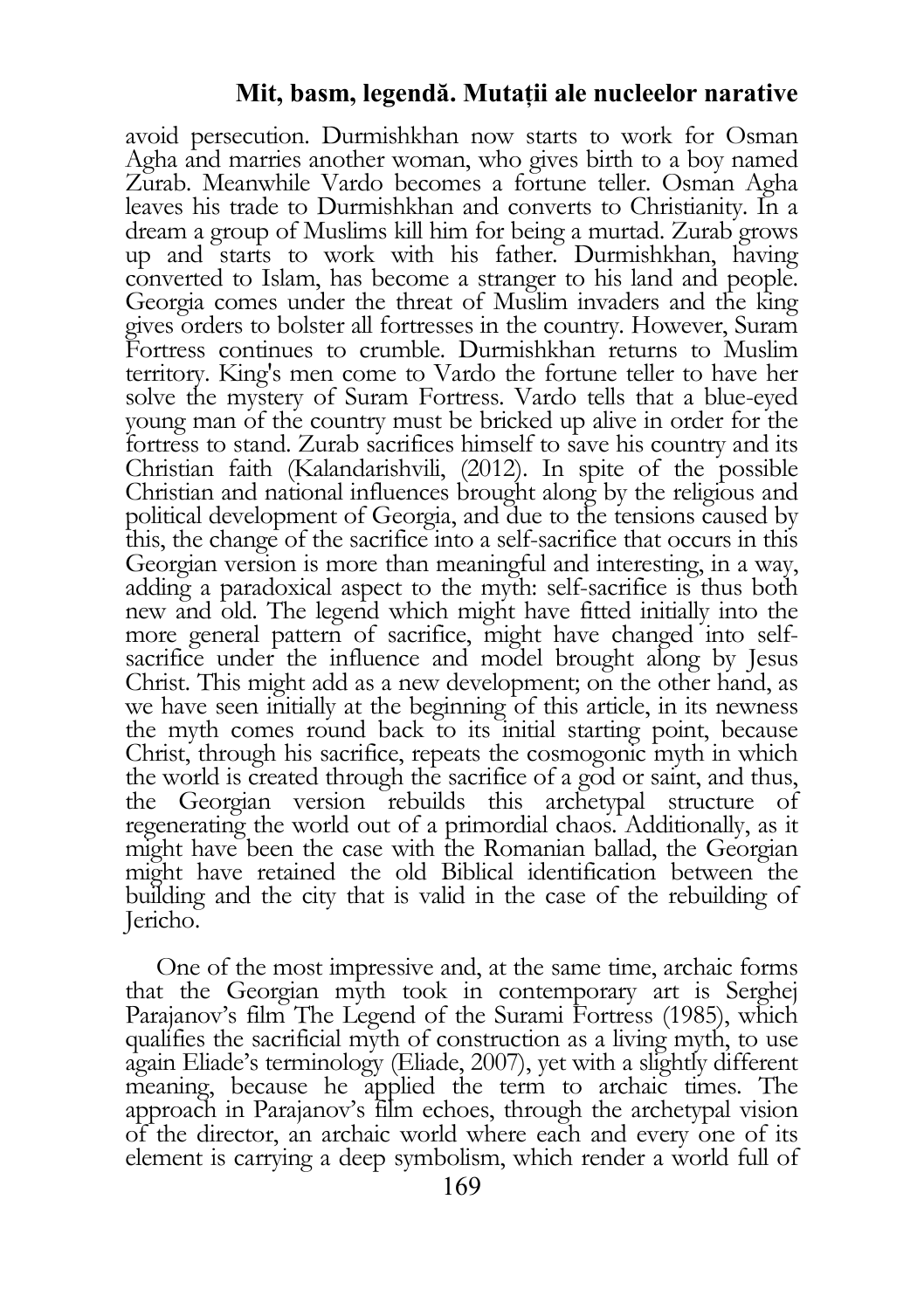avoid persecution. Durmishkhan now starts to work for Osman Agha and marries another woman, who gives birth to a boy named Zurab. Meanwhile Vardo becomes a fortune teller. Osman Agha leaves his trade to Durmishkhan and converts to Christianity. In a dream a group of Muslims kill him for being a murtad. Zurab grows up and starts to work with his father. Durmishkhan, having converted to Islam, has become a stranger to his land and people. Georgia comes under the threat of Muslim invaders and the king gives orders to bolster all fortresses in the country. However, Suram Fortress continues to crumble. Durmishkhan returns to Muslim territory. King's men come to Vardo the fortune teller to have her solve the mystery of Suram Fortress. Vardo tells that a blue-eyed young man of the country must be bricked up alive in order for the fortress to stand. Zurab sacrifices himself to save his country and its Christian faith (Kalandarishvili, (2012). In spite of the possible Christian and national influences brought along by the religious and political development of Georgia, and due to the tensions caused by this, the change of the sacrifice into a self-sacrifice that occurs in this Georgian version is more than meaningful and interesting, in a way, adding a paradoxical aspect to the myth: self-sacrifice is thus both new and old. The legend which might have fitted initially into the more general pattern of sacrifice, might have changed into selfsacrifice under the influence and model brought along by Jesus Christ. This might add as a new development; on the other hand, as we have seen initially at the beginning of this article, in its newness the myth comes round back to its initial starting point, because Christ, through his sacrifice, repeats the cosmogonic myth in which the world is created through the sacrifice of a god or saint, and thus, the Georgian version rebuilds this archetypal structure of regenerating the world out of a primordial chaos. Additionally, as it might have been the case with the Romanian ballad, the Georgian might have retained the old Biblical identification between the building and the city that is valid in the case of the rebuilding of Jericho.

One of the most impressive and, at the same time, archaic forms that the Georgian myth took in contemporary art is Serghej Parajanov's film The Legend of the Surami Fortress (1985), which qualifies the sacrificial myth of construction as a living myth, to use again Eliade's terminology (Eliade, 2007), yet with a slightly different meaning, because he applied the term to archaic times. The approach in Parajanov's film echoes, through the archetypal vision of the director, an archaic world where each and every one of its element is carrying a deep symbolism, which render a world full of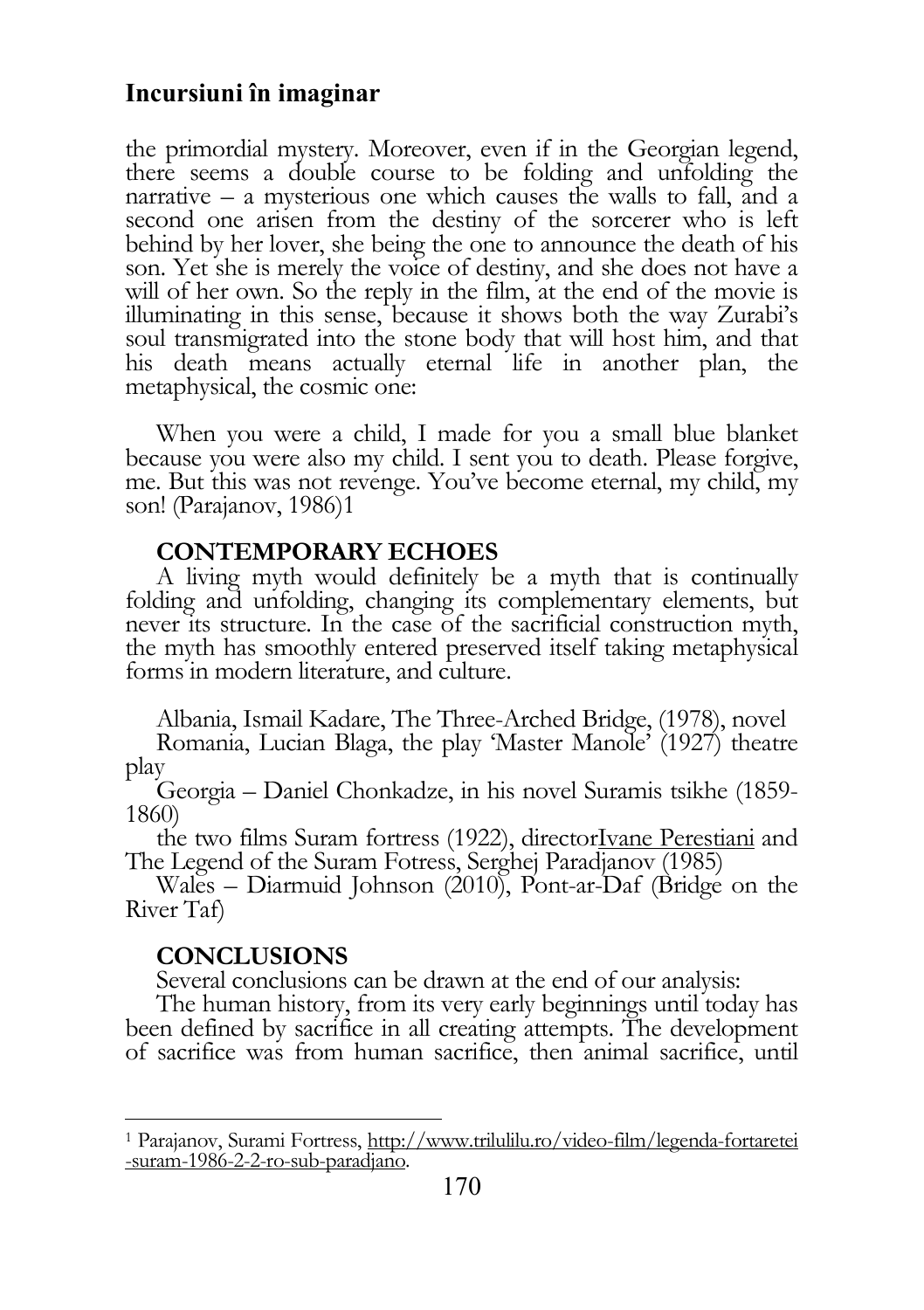the primordial mystery. Moreover, even if in the Georgian legend, there seems a double course to be folding and unfolding the narrative  $-$  a mysterious one which causes the walls to fall, and a second one arisen from the destiny of the sorcerer who is left behind by her lover, she being the one to announce the death of his son. Yet she is merely the voice of destiny, and she does not have a will of her own. So the reply in the film, at the end of the movie is illuminating in this sense, because it shows both the way Zurabi's soul transmigrated into the stone body that will host him, and that his death means actually eternal life in another plan, the metaphysical, the cosmic one:

When you were a child, I made for you a small blue blanket because you were also my child. I sent you to death. Please forgive, me. But this was not revenge. You've become eternal, my child, my son! (Parajanov, 1986)1

#### CONTEMPORARY ECHOES

A living myth would definitely be a myth that is continually folding and unfolding, changing its complementary elements, but never its structure. In the case of the sacrificial construction myth, the myth has smoothly entered preserved itself taking metaphysical forms in modern literature, and culture.

Albania, Ismail Kadare, The Three-Arched Bridge, (1978), novel Romania, Lucian Blaga, the play 'Master Manole' (1927) theatre play

Georgia – Daniel Chonkadze, in his novel Suramis tsikhe (1859- 1860)

the two films Suram fortress (1922), directorIvane Perestiani and The Legend of the Suram Fotress, Serghej Paradjanov (1985)

Wales – Diarmuid Johnson (2010), Pont-ar-Daf (Bridge on the River Taf)

#### **CONCLUSIONS**

Several conclusions can be drawn at the end of our analysis:

The human history, from its very early beginnings until today has been defined by sacrifice in all creating attempts. The development of sacrifice was from human sacrifice, then animal sacrifice, until

 $\overline{a}$ <sup>1</sup> Parajanov, Surami Fortress, http://www.trilulilu.ro/video-film/legenda-fortaretei -suram-1986-2-2-ro-sub-paradjano.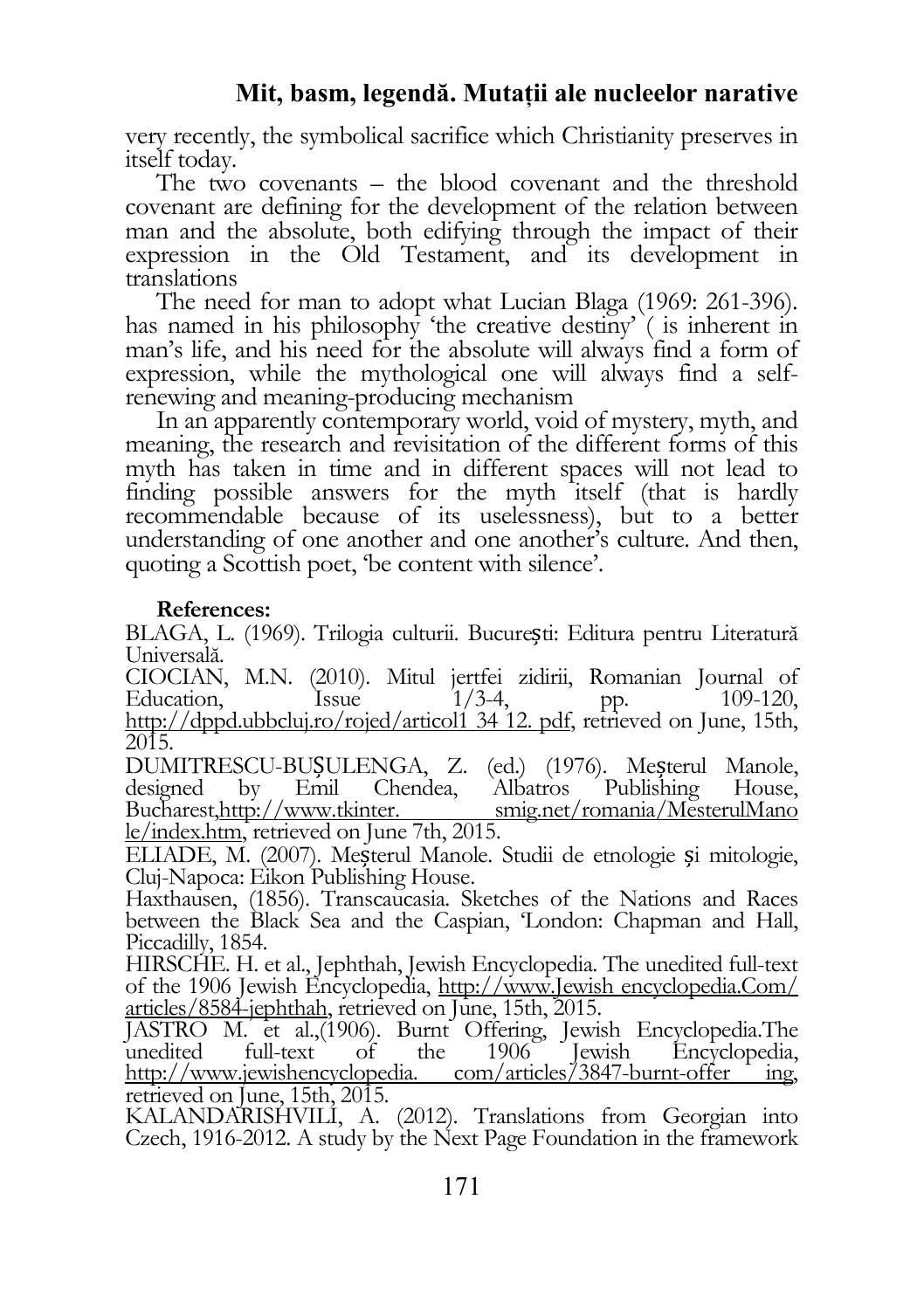very recently, the symbolical sacrifice which Christianity preserves in itself today.

The two covenants – the blood covenant and the threshold covenant are defining for the development of the relation between man and the absolute, both edifying through the impact of their expression in the Old Testament, and its development in translations

The need for man to adopt what Lucian Blaga (1969: 261-396). has named in his philosophy 'the creative destiny' (*is inherent in*) man's life, and his need for the absolute will always find a form of expression, while the mythological one will always find a selfrenewing and meaning-producing mechanism

In an apparently contemporary world, void of mystery, myth, and meaning, the research and revisitation of the different forms of this myth has taken in time and in different spaces will not lead to finding possible answers for the myth itself (that is hardly recommendable because of its uselessness), but to a better understanding of one another and one another's culture. And then, quoting a Scottish poet, 'be content with silence'.

#### References:

BLAGA, L. (1969). Trilogia culturii. București: Editura pentru Literatură Universală.

CIOCIAN, M.N. (2010). Mitul jertfei zidirii, Romanian Journal of Education, Issue 1/3-4, pp. 109-120, http://dppd.ubbcluj.ro/rojed/articol1 34 12. pdf, retrieved on June, 15th, 2015.

DUMITRESCU-BUȘULENGA, Z. (ed.) (1976). Meșterul Manole, designed by Emil Chendea, Albatros Publishing House,<br>Bucharest.http://www.tkinter. smig.net/romania/MesterulMano smig.net/romania/MesterulMano le/index.htm, retrieved on June 7th, 2015.

ELIADE, M. (2007). Meșterul Manole. Studii de etnologie și mitologie, Cluj-Napoca: Eikon Publishing House.

Haxthausen, (1856). Transcaucasia. Sketches of the Nations and Races between the Black Sea and the Caspian, 'London: Chapman and Hall, Piccadilly, 1854.

HIRSCHE. H. et al., Jephthah, Jewish Encyclopedia. The unedited full-text of the 1906 Jewish Encyclopedia, http://www.Jewish encyclopedia.Com/ articles/8584-jephthah, retrieved on June, 15th, 2015.

JASTRO M. et al.,(1906). Burnt Offering, Jewish Encyclopedia.The unedited full-text of the 1906 Jewish Encyclopedia, http://www.jewishencyclopedia. com/articles/3847-burnt-offer ing, retrieved on June, 15th, 2015.

KALANDARISHVILI, A. (2012). Translations from Georgian into Czech, 1916-2012. A study by the Next Page Foundation in the framework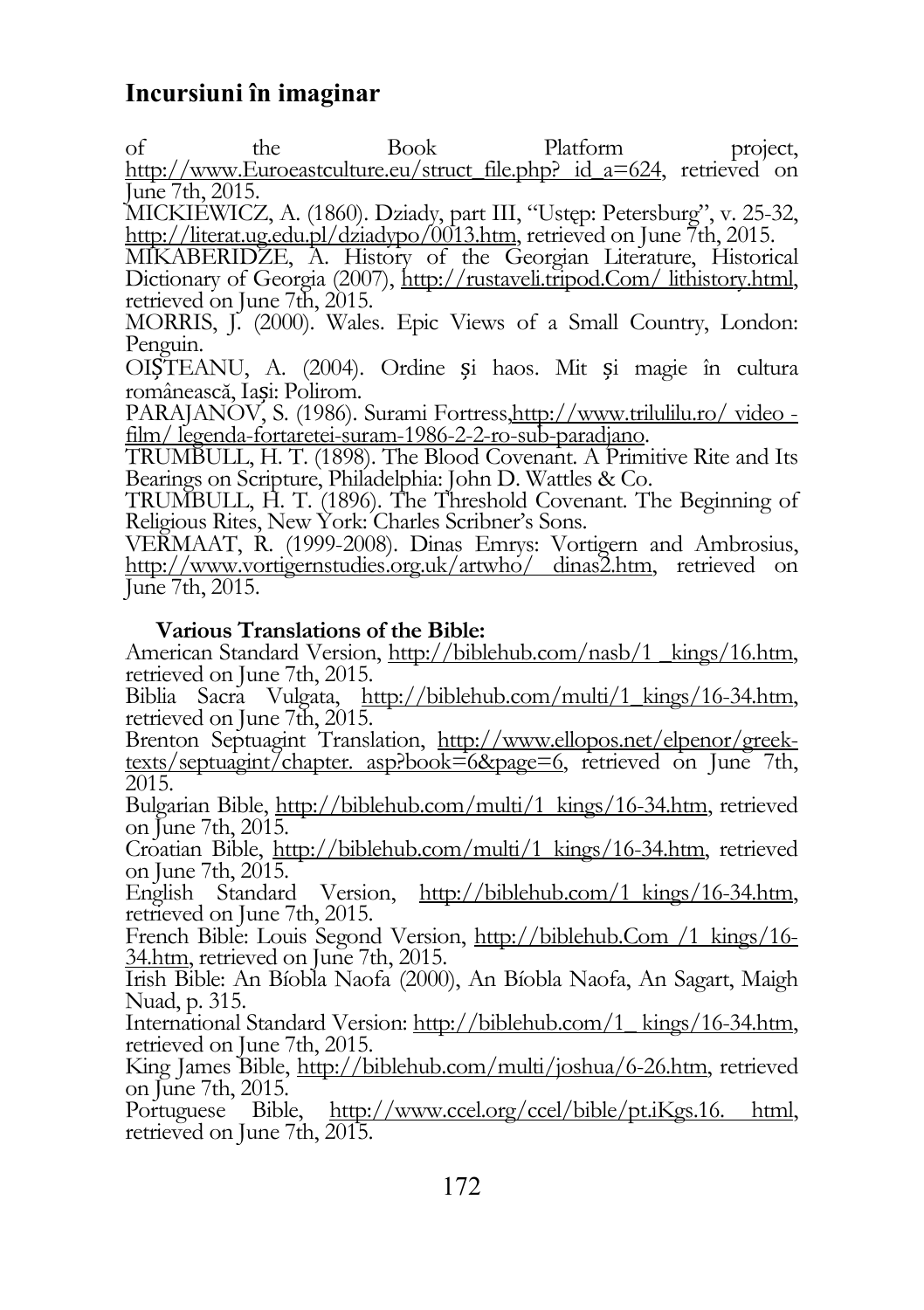of the Book Platform project, http://www.Euroeastculture.eu/struct\_file.php? id\_a=624, retrieved on June 7th, 2015.

MICKIEWICZ, A. (1860). Dziady, part III, "Ustęp: Petersburg", v. 25-32, http://literat.ug.edu.pl/dziadypo/0013.htm, retrieved on June 7th, 2015.

MIKABERIDZE, A. History of the Georgian Literature, Historical Dictionary of Georgia (2007), http://rustaveli.tripod.Com/ lithistory.html, retrieved on June 7th, 2015.

MORRIS, J. (2000). Wales. Epic Views of a Small Country, London: Penguin.

OIȘTEANU, A. (2004). Ordine și haos. Mit și magie în cultura românească, Iași: Polirom.

PARAJANÓV, S. (1986). Surami Fortress, http://www.trilulilu.ro/ video film/ legenda-fortaretei-suram-1986-2-2-ro-sub-paradjano.

TRUMBULL, H. T. (1898). The Blood Covenant. A Primitive Rite and Its Bearings on Scripture, Philadelphia: John D. Wattles & Co.

TRUMBULL, H. T. (1896). The Threshold Covenant. The Beginning of Religious Rites, New York: Charles Scribner's Sons.

VERMAAT, R. (1999-2008). Dinas Emrys: Vortigern and Ambrosius, http://www.vortigernstudies.org.uk/artwho/ dinas2.htm, retrieved on June 7th, 2015.

#### Various Translations of the Bible:

American Standard Version, http://biblehub.com/nasb/1 \_kings/16.htm, retrieved on June 7th, 2015.

Biblia Sacra Vulgata, http://biblehub.com/multi/1\_kings/16-34.htm, retrieved on June 7th, 2015.

Brenton Septuagint Translation, http://www.ellopos.net/elpenor/greektexts/septuagint/chapter. asp?book=6&page=6, retrieved on June 7th, 2015.

Bulgarian Bible, http://biblehub.com/multi/1\_kings/16-34.htm, retrieved on June 7th, 2015.

Croatian Bible, http://biblehub.com/multi/1\_kings/16-34.htm, retrieved on June 7th, 2015.

English Standard Version, http://biblehub.com/1\_kings/16-34.htm, retrieved on June 7th, 2015.

French Bible: Louis Segond Version, http://biblehub.Com /1 kings/16-34.htm, retrieved on June 7th, 2015.

Irish Bible: An Bíobla Naofa (2000), An Bíobla Naofa, An Sagart, Maigh Nuad, p. 315.

International Standard Version: http://biblehub.com/1\_ kings/16-34.htm, retrieved on June 7th, 2015.

King James Bible, http://biblehub.com/multi/joshua/6-26.htm, retrieved on June 7th, 2015.

Portuguese Bible, http://www.ccel.org/ccel/bible/pt.iKgs.16. html, retrieved on June 7th, 2015.